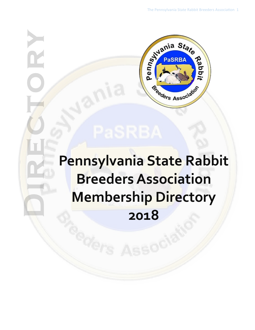

# **Pennsylvania State Rabbit Breeders Association Membership Directory 2018**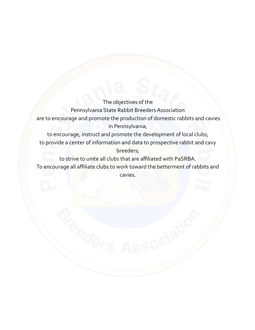The objectives of the Pennsylvania State Rabbit Breeders Association are to encourage and promote the production of domestic rabbits and cavies in Pennsylvania;

to encourage, instruct and promote the development of local clubs; to provide a center of information and data to prospective rabbit and cavy breeders;

to strive to unite all clubs that are affiliated with PaSRBA. To encourage all affiliate clubs to work toward the betterment of rabbits and cavies.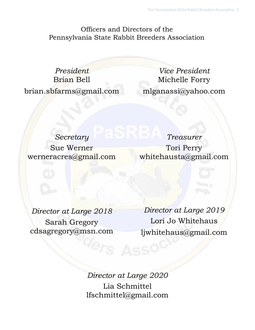Officers and Directors of the Pennsylvania State Rabbit Breeders Association

*President* Brian Bell brian.sbfarms@gmail.com

*Vice President* Michelle Forry mlganassi@yahoo.com

*Secretary* Sue Werner werneracres@gmail.com

*Treasurer* Tori Perry whitehausta@gmail.com

*Director at Large 2018* Sarah Gregory cdsagregory@msn.com

*Director at Large 2019* Lori Jo Whitehaus ljwhitehaus@gmail.com

*Director at Large 2020*

Lia Schmittel lfschmittel@gmail.com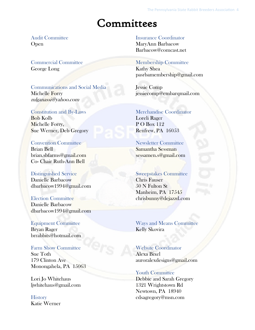# Committees

# Audit Committee **Open**

# Commercial Committee George Long

Communications and Social Media Michelle Forry mlganassi@yahoo.com

# Constitution and By-Laws

Bob Kolb Michelle Forry, Sue Werner, Deb Gregory

Convention Committee Brian Bell brian.sbfarms@gmail.com Co- Chair Ruth-Ann Bell

Distinguished Service Danielle Barbacow dbarbacow1994@gmail.com

Election Committee Danielle Barbacow dbarbacow1994@gmail.com

Equipment Committee Bryan Rager brrabbits@hotmail.com

Farm Show Committee Sue Toth 179 Clinton Ave Monongahela, PA 15063

Lori Jo Whitehaus ljwhitehaus@gmail.com

**History** Katie Werner

# Insurance Coordinator

MaryAnn Barbacow Barbacow@comcast.net

# Membership Committee

Kathy Shea pasrbamembership@gmail.com

Jessie Comp jessiecomp@embarqmail.com

# Merchandise Coordinator

Loreli Rager P O Box 112 Renfrew, PA 16053

# Newsletter Committee

Samantha Sessman sessamen.s@gmail.com

# Sweepstakes Committee

Chris Fauser 50 N Fulton St Manheim, PA 17545 chrisbunny@dejazzd.com

Ways and Means Committee Kelly Skovira

# Website Coordinator Alexa Bixel

auroralexdesigns@gmail.com

# Youth Committee Debbie and Sarah Gregory

1321 Wrightstown Rd Newtown, PA 18940 cdsagregory@msn.com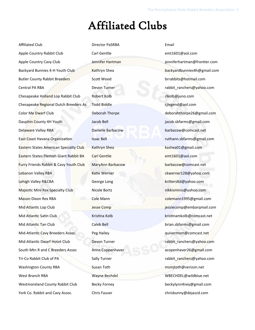# Affiliated Clubs

Affiliated Club Apple Country Rabbit Club Apple Country Cavy Club Backyard Bunnies 4-H Youth Club Butler County Rabbit Breeders Central PA RBA Chesapeake Holland Lop Rabbit Club Chesapeake Regional Dutch Breeders As Color Me Dwarf Club Dauphin County 4H Youth Delaware Valley RBA East Coast Havana Organization Eastern States American Specialty Club Eastern States Flemish Giant Rabbit BA Furry Friends Rabbit & Cavy Youth Club Lebanon Valley RBA Lehigh Valley R&CBA Majestic Mini Rex Specialty Club Mason-Dixon Rex RBA Mid Atlantic Lop Club Mid Atlantic Satin Club Mid Atlantic Tan Club Mid-Atlantic Cavy Breeders Assoc. Mid-Atlantic Dwarf Hotot Club South Mtn R and C Breeders Assoc Tri-Co Rabbit Club of PA Washington County RBA West Branch RBA Westmoreland County Rabbit Club York Co. Rabbit and Cavy Assoc.

Director PaSRBA Carl Gentile Jennifer Hartman Kathryn Shea Scott Wood Devon Turner Robert Kolb Todd Biddle Deborah Thorpe Jacob Bell Danielle Barbacow Issac Bell Kathryn Shea Carl Gentile MaryAnn Barbacow Katie Werner George Long Nicole Bortz Cole Mann Jesse Comp Kristina Kolb Caleb Bell Peg Hailey Devon Turner Anne Coppenhaver Sally Turner Susan Toth Wayne Bechdel Becky Forney Chris Fauser

Email emt1601@aol.com jenniferhartman@frontier.com backyardbunnies4h@gmail.com brrabbits@hotmail.com rabbit\_ranchers@yahoo.com rlkolb@juno.com cjlegend@aol.com deborahthorpe26@gmail.com jacob.sbfarms@gmail.com barbacow@comcast.net ruthann.sbfarms@gmail.com kashea01@gmail.com emt1601@aol.com barbacow@comcast.net ckwerner128@yahoo.com krittersltd@yahoo.com nikkisminis@yahoo.com colemann1995@gmail.com jessiecomp@embarqmail.com kristinamkolb@comcast.net brian.sbfarms@gmail.com quivermom@comcast.net rabbit\_ranchers@yahoo.com acopenhaver26@gmail.com rabbit\_ranchers@yahoo.com msmjtoth@verizon.net WBECHDEL@wildblue.net beckylynn4ney@gmail.com chrisbunny@dejazzd.com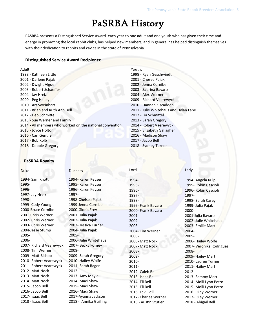# PaSRBA History

PASRBA presents a Distinguished Service Award each year to one adult and one youth who has given their time and energy in promoting the local rabbit clubs, has helped new members, and in general has helped distinguish themselves with their dedication to rabbits and cavies in the state of Pennsylvania.

# **Distinguished Service Award Recipients:**

| Adult:                                                   |
|----------------------------------------------------------|
| 1998 - Kathleen Little                                   |
| 2001 - Darlene Pajak                                     |
| 2002 - Dwight Algoe                                      |
| 2003 - Robert Schaeffer                                  |
| 2004 - Jay Hreiz                                         |
| 2009 - Peg Hailey                                        |
| 2010 - Art Sweinhart                                     |
| 2011 - Brian and Ruth Ann Bell                           |
| 2012 - Deb Schmittel                                     |
| 2013 - Sue Werner and Family                             |
| 2014 - All members who worked on the national convention |
| 2015 - Joyce Holton                                      |
| 2016 - Carl Gentile                                      |
| 2017 - Bob Kolb                                          |
| 2018 - Debbie Gregory                                    |

Youth: - Ryan Geschwindt - Chesea Pajak - Jenna Cornibe - Sabrina Bavaro - Alex Werner - Richard Vaerewyck - Hannah Kiscadden - Julie Whitehaus and Dylan Lape - Lia Schmittel - Sarah Gregory - Robert Vaerewyck - Elizabeth Gallagher - Madison Shaw - Jacob Bell - Sydney Turner

# **PaSRBA Royalty**

Duke - Sam Knott - - - Jay Hreiz - - Cody Young -Bruce Cornibe -Chris Werner - Chris Werner - Chris Werner -Jesse Stump - - - Richard Vearewyck - Tim Werner - Matt Bishop - Robert Vearewyck - Robert Vearewyck - Matt Nock - Matt Nock - Matt Nock - Jacob Bell - Jacob Bell - Isaac Bell - Isaac Bell

# Duchess

- Karen Keyser - Karen Keyser - Karen Keyser - -Chelsea Pajak -Jenna Cornibe -Gloria Frey - Julia Pajak - Julia Pajak - Jessica Turner - Julia Pajak - - Julie Whitehaus - Becky Forney - - Sarah Gregory - Hailey Wolfe - Sarah Rager - - Amy Mayle - Madi Shaw - Madi Shaw - Madi Shaw -Ayanna Jackson - Annika Guilling

# Lord

- - - - - - Frank Bavaro - Frank Bavaro - - - - Tim Werner - - Matt Nock - Matt Nock - - - - - Caleb Bell - Isaac Bell - Eli Bell - Eli Bell - Levi Bell - Charles Werner - Austin Stutler

# Lady

- Angela Kulp - Robin Cascioli - Robin Cascioli - - Sarah Carey - Julia Pajak - -Julia Bavaro - Julie Whitehaus - Emilie Mart - - - Hailey Wolfe - Veronika Rodriguez - - Hailey Mart - Lauren Turner - Hailey Mart - - Sammy Mart - Molli Lynn Petro - Molli Lynn Petro - Riley Werner - Riley Werner - Abigail Bell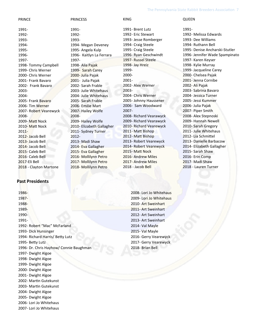| 1991-                  |
|------------------------|
| 1992-                  |
| 1993-                  |
| 1994-                  |
| 1995-                  |
| 1996-                  |
| 1997-                  |
| 1998- Tommy Campbell   |
| 1999- Chris Werner     |
| 2000- Chris Werner     |
| 2001- Frank Bavaro     |
| 2002- Frank Bavaro     |
| 2003-                  |
| 2004-                  |
| 2005- Frank Bavaro     |
| 2006- Tim Werner       |
| 2007- Robert Vearewyck |
| 2008-                  |
| 2009- Matt Nock        |
| 2010-Matt Nock         |
| $2011 -$               |
| 2012- Jacob Bell       |
| 2013- Jacob Bell       |
| 2014- Jacob Bell       |
| 2015- Caleb Bell       |
| 2016- Caleb Bell       |
| 2017-Eli Bell          |
| 2018 - Clayton Martone |

PRINCE

# **Past Presidents**

- - - - - - - Robert "Mac" McFarland - Dick Hunsinger - Richard Harris/ Betty Lutz - Betty Lutz - Dr. Chris Hayhow/ Connie Baughman - Dwight Algoe - Dwight Algoe - Dwight Algoe - Dwight Algoe - Dwight Algoe - Martin Gutekunst - Martin Gutekunst - Dwight Algoe - Dwight Algoe - Lori Jo Whitehaus - Lori Jo Whitehaus

- - - - Megan Deveney - Angela Kulp - Kaitlyn La Ferrara - - Alia Pajak - Sarah Carey - Julia Pajak - Julia Pajak - Sarah Frable - Julie Whitehaus - Julie Whitehaus - Sarah Frable - Emilie Mart - Hailey Wolfe - - Hailey Wolfe - Elizabeth Gallagher - Sydney Turner - - Madi Shaw - Eva Gallagher - Eva Gallagher - Mollilynn Petro - Mollilynn Petro

- Mollilynn Petro

PRINCESS

- Brent Lutz - Eric Stewart - Jesse Romberger - Craig Steele - Craig Steele - Ryan Geschwindt - Russel Steele - Jay Hreiz - - - - Alex Werner - - Chris Werner - Johnny Haussener - Sam Woodward - - Richard Vearawyck - Richard Vearawyck - Richard Vearewyck - Matt Bishop - Matt Bishop - Robert Vearewyck - Robert Vearewyck - Matt Nock - Andrew Miles - Andrew Miles - Jacob Bell

KING

#### QUEEN

- - Melissa Edwards - Dee Williams - Ruthann Bell - Denise Ancharski-Stutler - Jennifer Wade Spampinato - Karen Keyser - Kylie Murray - Jacqueline Carey - Chelsea Pajak - Jenna Cornibe - Ali Pajak - Sabrina Bavaro - Jessica Turner - Jessi Kummer - Julia Pajak - Piper Smith - Alex Stepnoski - Hannah Newell - Sarah Gregory - Julie Whitehaus - Lia Schmittel - Danielle Barbacow - Elizabeth Gallagher - Sarah Shaw - Erin Comp - Madi Shaw - Lauren Turner

- Lori Jo Whitehaus - Lori Jo Whitehaus - Art Sweinhart - Art Sweinhart - Art Sweinhart - Art Sweinhart - Val Mayle - Val Mayle - Gerry Vearewyck - Gerry Vearewyck - Brian Bell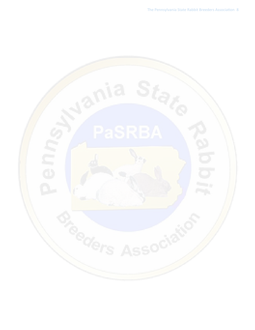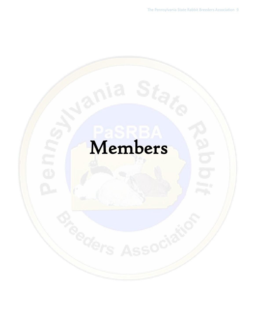# Members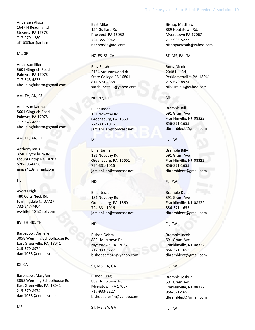Andersen Alison 1647 N Reading Rd Stevens PA 17578 717-979-1280 ali1000kat@aol.com

#### ML, SF

Anderson Ellen 5601 Gingrich Road Palmyra PA 17078 717-343-4835 abouningfulfarm@gmail.com

# AM, TH, AN, CF

Anderson Karina 5601 Gingrich Road Palmyra PA 17078 717-343-4835 abouningfulfarm@gmail.com

# AM, TH, AN, CF

Anthony Janis 3740 Blytheburn Rd Mountaintop PA 18707 570-406-6056 janisa413@gmail.com

HL

Ayers Leigh 480 Colts Neck Rd. Farmingdale NJ 07727 732-547-7404 wwhiteh404@aol.com

BV, BH, GC, TH

Barbacow, Danielle 3058 Wentling Schoolhouse Rd East Greenville, PA 18041 215-679-8974 dani3058@comcast.net

RX, CA

Barbacow, MaryAnn 3058 Wentling Schoolhouse Rd East Greenville, PA 18041 215-679-8974 dani3058@comcast.net

Best Mike 154 Guillard Rd Prospect PA 16052 724-355-0942 nannon82@aol.com

#### NZ, ES, SF, CA

Betz Sarah 2164 Autumnwood dr State College PA 16801 814-574-4358 sarah\_betz11@yahoo.com

#### ND, NZ, HL

Biller Jaden 131 Novotny Rd Greensburg, PA 15601 724-331-1016 jamiebiller@comcast.net

## D

Biller Jamie 131 Novotny Rd Greensburg, PA 15601 724-331-1016 jamiebiller@comcast.net

#### ND

Biller Jesse 131 Novotny Rd Greensburg, PA 15601 724-331-1016 jamiebiller@comcast.net

#### ND

Bishop Debra 889 Houtztown Rd. Myerstown PA 17067 717-933-5227 bishopacres4h@yahoo.com

#### ST, MS, EA, GA

Bishop Greg 889 Houtztown Rd. Myerstown PA 17067 717-933-5227 bishopacres4h@yahoo.com

ST, MS, EA, GA

Bishop Matthew 889 Houtztown Rd. Myerstown PA 17067 717-933-5227 bishopacres4h@yahoo.com

#### ST, MS, EA, GA

Bortz Nicole 2048 Hill Rd Perkiomenville, PA 18041 215-679-8974 nikkisminis@yahoo.com

# MR

Bramble Bill 591 Grant Ave Franklinville, NJ 08322 856-371-1655 dbrambleot@gmail.com

# FL, FW

Bramble Billy 591 Grant Ave Franklinville, NJ 08322 856-371-1655 dbrambleot@gmail.com

#### FL, FW

Bramble Dana 591 Grant Ave Franklinville, NJ 08322 856-371-1655 dbrambleot@gmail.com

## FL, FW

Bramble Jacob 591 Grant Ave Franklinville, NJ 08322 856-371-1655 dbrambleot@gmail.com

# FL, FW

Bramble Joshua 591 Grant Ave Franklinville, NJ 08322 856-371-1655 dbrambleot@gmail.com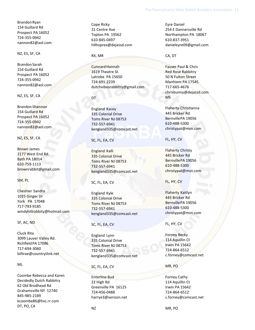BrandonRyan 154 Guillard Rd Prospect PA 16052 724-355-0942 nannon82@aol.com

NZ, ES, SF, CA

BrandonSarah 154 Guillard Rd Prospect PA 16052 724-355-0942 nannon82@aol.com

NZ, ES, SF, CA

BrandonShannon 154 Guillard Rd Prospect PA 16052 724-355-0942 nannon82@aol.com

NZ, ES, SF, CA

Brown James 2177 West End Rd. Bath PA 18014 610-759-1113 brownrabbit@gmail.com

SM, PL

Cheshier Sandra 1025 Ginger Dr York PA 17048 717-793-9185 windyhillrabbity@hotmail.com

SF, AC, ND

Cluck Rita 3099 Lauver Valley Rd. RichfieldPA 17086 717-694-3060 billirae@countryilink.net

ML

Coombe Rebecca and Karen Decidedly Dutch Rabbitry 62 Old Brodhead Rd Grahamsville NY 12740 845-985-2189 kcoombe86@hvc.rr.com DT, PO, CA

Cope Ricky 31 Centre Ave Topton PA 19562 610-845-0497 hilltoprex@dejassd.com

RX, MR

Cunnard Hannah 1619 Theatre St. Latrobe PA 15650 724-691-2239 dutchvibesrabbitry@gmail.com

DT

England Kacey 335 Colonial Drive Toms River NJ 08753 732-557-6941 kengland335@comcast.net

SC, FL, EA, CV

England Kalli 335 Colonial Drive Toms River NJ 08753 732-557-6941 kengland335@comcast.net

SC, FL, EA, CV

England Kyle 335 Colonial Drive Toms River NJ 08753 732-557-6941 kengland335@comcast.net

# SC, FL, EA, CV

England Lynn 335 Colonial Drive Toms River NJ 08753 732-557-6941 kengland335@comcast.net

SC, FL, EA, CV

Enterline Bud 22 High Rd Greenville PA 16125 724-456-0488 harrye3@verizon.net Eyre Daniel 254 E Dannersville Rd Northampton PA 18067 610-837-3951 danieleyre09@gmail.com

CA, DT

Fauser Paul & Chris Red Rose Rabbitry 50 N Fulton Street Manhiem PA 17545 717-665-4676 chrisbunny@dejazzd.com MS

Flaherty Christianna 445 Bricker Rd BernvillePA 19056 610-488-5300 christypat@msn.com

FL, HY, CV

Flaherty Christy 445 Bricker Rd BernvillePA 19056 610-488-5300 christypat@msn.com

FL, HY, CV

Flaherty Kaitlyn 445 Bricker Rd BernvillePA 19056 610-488-5300 christypat@msn.com

FL, HY, CV

Forney Becky 114 Aquillin Ct Irwin PA 15642 724-864-6512 c.forney@comcast.net

MR, PO

Forney Cathy 114 Aquillin Ct Irwin PA 15642 724-864-6512 c.forney@comcast.net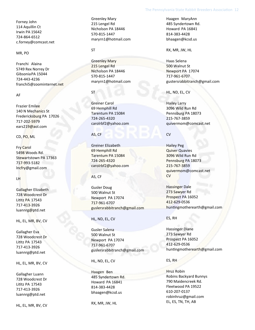Forney John 114 Aquillin Ct Irwin PA 15642 724-864-6512 c.forney@comcast.net

## MR, PO

Franchi Alaina 5749 Rex Norrey Dr GibsoniaPA 15044 724-443-4236 franchi5@zoominternet.net

#### AF

Frazier Emilee 140 N Mechanics St Fredericksburg PA 17026 717-202-5979 ears219@aol.com

CD, PO, ML

Fry Carol 5498 Woods Rd. Stewartstown PA 17363 717-993-5182 lncfry@gmail.com

# LH

Gallagher Elizabeth 728 Woodcrest Dr Lititz PA 17543 717-413-3926 luannrg@ptd.net

HL, EL, MR, BV, CV

Gallagher Eva 728 Woodcrest Dr Lititz PA 17543 717-413-3926 luannrg@ptd.net

HL, EL, MR, BV, CV

Gallagher Luann 728 Woodcrest Dr Lititz PA 17543 717-413-3926 luannrg@ptd.net

HL, EL, MR, BV, CV

Greenley Mary 215 Lengel Rd Nicholson PA 18446 570-815-1447 maryrn1@hotmail.com

# ST

Greenley Mary 215 Lengel Rd Nicholson PA 18446 570-815-1447 maryrn1@hotmail.com

# ST

Greiner Carol 69 Hemphill Rd Tarentum PA 15084 724-265-4320 carolrbf2@yahoo.com

# AS, CF

Greiner Elizabeth 69 Hemphill Rd Tarentum PA 15084 724-265-4320 carolrbf2@yahoo.com

# AS, CF

Gusler Doug 500 Walnut St Newport PA 17074 717-961-6707 guslersrabbitranch@gmail.com

HL, ND, EL, CV

Gusler Salena 500 Walnut St Newport PA 17074 717-961-6707 guslersrabbitranch@gmail.com

# HL, ND, EL, CV

Haagen Ben 485 Syndertown Rd. Howard PA 16841 814-383-4428 bhaagen@kcsd.us

RX, MR, JW, HL

Haagen MaryAnn 485 Syndertown Rd. Howard PA 16841 814-383-4428 bhaagen@kcsd.us

RX, MR, JW, HL

Haas Selena 500 Walnut St Newport PA 17074 717-961-6707 gustersrabbitranch@gmail.com

HL, ND, EL, CV

Hailey Larry 3096 Wild Run Rd Pennsburg PA 18073 215-767-3859 quivermom@comcast.net

# CV

Hailey Peg Quiver Quavies 3096 Wild Run Rd Pennsburg PA 18073 215-767-3859 quivermom@comcast.net CV

Hassinger Dale 273 Sawyer Rd Prospect PA 16052 412-629-0536 huntingmotherearth@gmail.com

## ES, RH

Hassinger Diane 273 Sawyer Rd Prospect PA 16052 412-629-0536 huntingmotherearth@gmail.com

# ES, RH

Hruz Robin Robins Backyard Bunnys 790 Maidencreek Rd. Fleetwood PA 19522 610-207-0137 robinhruz@gmail.com EL, ES, TN, TH, AB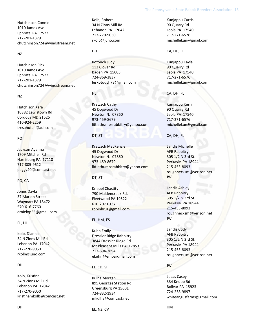Hutchinson Connie 1010 James Ave. Ephrata PA 17522 717-201-1379 chutchinson724@windstream.net

#### NZ

Hutchinson Rick 1010 James Ave. Ephrata PA 17522 717-201-1379 chutchinson724@windstream.net

# NZ

Hutchison Kara 10882 Lewistown Rd Cordova MD 21625 410-924-2259 tresahutch@aol.com

# PO

Jackson Ayanna 1709 Mitchell Rd Harrisburg PA 17110 717-805-9612 peggy40@comcast.net

PO, CA

Jones Dayla 37 Marion Street Waymart PA 18472 570-616-7760 ernielop55@gmail.com

FL, LH

Kolb, Dianna 34 N Zinns Mill Rd Lebanon PA 17042 717-270-9050 rkolb@juno.com

## DH

Kolb, Kristina 34 N Zinns Mill Rd Lebanon PA 17042 717-270-9050 kristinamkolb@comcast.net Kolb, Robert 34 N Zinns Mill Rd Lebanon PA 17042 717-270-9050 rkolb@juno.com

DH

Kotouch Judy 112 Clover Rd Baden PA 15005 724-869-3837 leskotouch78@gmail.com

# HL

Kratzsch Cathy 45 Dogwood Dr Newton NJ 07860 973-459-8679 littlethumpsrabbitry@yahoo.com

# DT, ST

Kratzsch MacKenzie 45 Dogwood Dr Newton NJ 07860 973-459-8679 littlethumpsrabbitry@yahoo.com

# DT, ST

Kriebel Chastity 790 Maidencreek Rd. Fleetwood PA 19522 610-207-0137 robinhruz@gmail.com

# EL, HM, ES

Kuhn Emily Dressler Ridge Rabbitry 3844 Dressler Ridge Rd Mt Pleasant Mills PA 17853 717-694-3894 ekuhn@embarqmail.com

# FL, CD, SF

Kulha Morgan 895 Georges Station Rd Greensburg PA 15601 724-832-1934 mkulha@comcast.net

EL, NZ, CV

Kunjappu Curtis 90 Quarry Rd Leola PA 17540 717-271-6576 michellekun@gmail.com

CA, DH, FL

Kunjappu Kayla 90 Quarry Rd Leola PA 17540 717-271-6576 michellekun@gmail.com

# CA, DH, FL

Kunjappu Kerri 90 Quarry Rd Leola PA 17540 717-271-6576 michellekun@gmail.com

# CA, DH, FL

Landis Michelle AFB Rabbitry 305 1/2 N 3rd St. Perkasie PA 18944 215-453-8093 roughnecksm@verizon.net JW

Landis Ashley AFB Rabbitry 305 1/2 N 3rd St. Perkasie PA 18944 215-453-8093 roughnecksm@verizon.net JW

Landis Cody AFB Rabbitry 305 1/2 N 3rd St. Perkasie PA 18944 215-453-8093 roughnecksm@verizon.net

# JW

Lucas Casey 334 Knupp Rd Bolivar PA 15923 724-238-9897 whiteangusfarms@gmail.com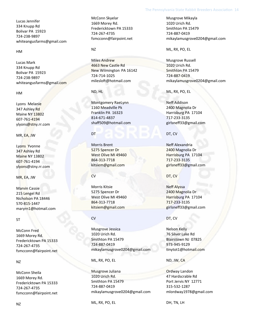Lucas Jennifer 334 Knupp Rd Bolivar PA 15923 724-238-9897 whiteangusfarms@gmail.com

#### HM

Lucas Mark 334 Knupp Rd Bolivar PA 15923 724-238-9897 whiteangusfarms@gmail.com

#### HM

Lyons Melanie 347 Ashley Rd Maine NY 13802 607-761-4194 ylyons@stny.rr.com

MR, EA, JW

Lyons Yvonne 347 Ashley Rd Maine NY 13802 607-761-4194 ylyons@stny.rr.com

MR, EA, JW

Marvin Cassie 215 Lengel Rd Nicholson PA 18446 570-815-1447 maryrn1@hotmail.com

ST

McConn Fred 1669 Morey Rd. Fredericktown PA 15333 724-267-4735 fsmcconn@fairpoint.net

#### NZ

McConn Sheila 1669 Morey Rd. Fredericktown PA 15333 724-267-4735 fsmcconn@fairpoint.net

McConn Skyelar 1669 Morey Rd. Fredericktown PA 15333 724-267-4735 fsmcconn@fairpoint.net

NZ

Miles Andrew 4663 New Castle Rd New Wilmington PA 16142 724-714-1025 milesloft@hotmail.com

# ND, HL

Montgomery RaeLynn 1160 Meadville Pk Franklin PA 16323 814-671-4837 shaff509@hotmail.com

# DT

Morris Brent 5275 Spencer Dr West Olive MI 49460 864-313-7718 kitsiem@gmail.com

# **CV**

Morris Kitsie 5275 Spencer Dr West Olive MI 49460 864-313-7718 kitsiem@gmail.com

# CV

Musgrove Jessica 1020 Urich Rd. Smithton PA 15479 724-887-0419 mikaylamusgrove0204@gmail.com

# ML, RX, PO, EL

Musgrove Juliana 1020 Urich Rd. Smithton PA 15479 724-887-0419 mikaylamusgrove0204@gmail.com

ML, RX, PO, EL

Musgrove Mikayla 1020 Urich Rd. Smithton PA 15479 724-887-0419 mikaylamusgrove0204@gmail.com

ML, RX, PO, EL

Musgrove Russell 1020 Urich Rd. Smithton PA 15479 724-887-0419 mikaylamusgrove0204@gmail.com

ML, RX, PO, EL

Neff Addison 2400 Magnolia Dr Harrisburg PA 17104 717-233-3135 girlsneff33@gmail.com

## DT, CV

Neff Alexandria 2400 Magnolia Dr Harrisburg PA 17104 717-233-3135 girlsneff33@gmail.com

# DT, CV

Neff Alyssa 2400 Magnolia Dr Harrisburg PA 17104 717-233-3135 girlsneff33@gmail.com

# DT, CV

Nelson Kelly 76 Silver Lake Rd Blairstown NJ 07825 973-945-9129 tinytot1@hotmail.com

# ND, JW, CA

Ordway Landon 47 Hardscrable Rd Port Jervis NY 12771 315-532-1287 mlordway1978@gmail.com

DH, TN, LH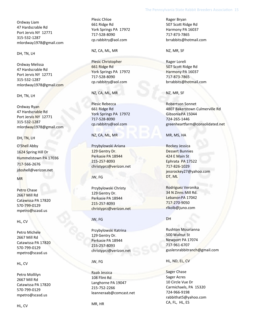Ordway Liam 47 Hardscrable Rd Port Jervis NY 12771 315-532-1287 mlordway1978@gmail.com

#### DH, TN, LH

Ordway Melissa 47 Hardscrable Rd Port Jervis NY 12771 315-532-1287 mlordway1978@gmail.com

# DH, TN, LH

Ordway Ryan 47 Hardscrable Rd Port Jervis NY 12771 315-532-1287 mlordway1978@gmail.com

## DH, TN, LH

O'Shell Abby 1624 Spring Hill Dr Hummelstown PA 17036 717-566-2676 jdoshell@verizon.net

MR

Petro Chase 2667 Mill Rd Catawissa PA 17820 570-799-0129 mpetro@scasd.us

HL, CV

Petro Michele 2667 Mill Rd Catawissa PA 17820 570-799-0129 mpetro@scasd.us

HL, CV

Petro Mollilyn 2667 Mill Rd Catawissa PA 17820 570-799-0129 mpetro@scasd.us

Plesic Chloe 661 Ridge Rd York Springs PA 17972 717-528-8090 cp.rabbitry@aol.com

NZ, CA, ML, MR

Plesic Christopher 661 Ridge Rd York Springs PA 17972 717-528-8090 cp.rabbitry@aol.com

NZ, CA, ML, MR

Plesic Rebecca 661 Ridge Rd York Springs PA 17972 717-528-8090 cp.rabbitry@aol.com

NZ, CA, ML, MR

Przybylowski Ariana 129 Gentry Dr. Perkasie PA 18944 215-257-8093 christyprz@verizon.net

JW, FG

Przybylowski Christy 129 Gentry Dr. Perkasie PA 18944 215-257-8093 christyprz@verizon.net

JW, FG

Przybylowski Katrina 129 Gentry Dr. Perkasie PA 18944 215-257-8093 christyprz@verizon.net

# JW, FG

Raab Jessica 108 Flint Rd Langhorne PA 19047 215-752-2266 leanneraab@comcast.net

MR, HR

Rager Bryan 507 Scott Ridge Rd Harmony PA 16037 717-873-7865 brrabbits@hotmail.com

NZ, MR, SF

Rager Loreli 507 Scott Ridge Rd Harmony PA 16037 717-873-7865 brrabbits@hotmail.com

NZ, MR, SF

Robertson Sonnet 4807 Bakerstown Culmerville Rd GibsoniaPA 15044 724-265-1446 greenheartfarm@consolidated.net

MR, MS, HA

Rockey Jessica Dessert Bunnies 424 E Main St Ephrata PA 17522 717-826-1029 jessrockey27@yahoo.com DT, ML

Rodriguez Veronika 34 N Zinns Mill Rd. Lebanon PA 17042 717-270-9050 rlkolb@juno.com

## **DH**

Rushton Mourianna 500 Walnut St Newport PA 17074 717-961-6707 guslersrabbitranch@gmail.com

# HL, ND, EL, CV

Sager Chase Sager Acres 10 Circle Vue Dr Carmichaels, PA 15320 724-966-9198 rabbithat5@yahoo.com CA, FL, HL, ES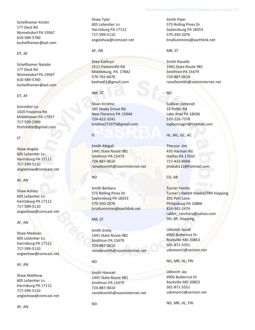Schellhamer Kristin 177 Deck Rd Womelsdorf PA 19567 610-589-5760 kschellhamer@aol.com

#### DT, AF

Schellhamer Natalie 177 Deck Rd Womelsdorf PA 19567 610-589-5760 kschellhamer@aol.com

# DT, AF

Schmittel Lia 1020 Foxianna Rd. Middletown PA 17057 717-599-2360 lfschmittel@gmail.com

# ST

Shaw Angela 605 LeSentier Ln. Harrisburg PA 17112 717-599-5110 angieshaw@comcast.net

AF, AN

Shaw Ashley 605 LeSentier Ln. Harrisburg PA 17112 717-599-5110 angieshaw@comcast.net

AF, AN

Shaw Madison 605 LeSentier Ln. Harrisburg PA 17112 717-599-5110 angieshaw@comcast.net

AF, AN

Shaw Matthew 605 LeSentier Ln. Harrisburg PA 17112 717-599-5110 angieshaw@comcast.net Shaw Tyler 605 LeSentier Ln. Harrisburg PA 17112 717-599-5110 angieshaw@comcast.net

AF, AN

Shea Kathryn 2511 Paxtonville Rd Middleburg, PA 17842 570-765-6676 kashea01@gmail.com

#### AM, ST

Sloan Kristine 585 Shady Grove Rd. New Florence PA 15944 724-422-3241 kristine271975@gmail.com

# FL

Smith Abigail 1441 State Route 981 Smithton PA 15479 724-887-0610 ranellesmith@zoominternet.net

#### ND

Smith Barbara 575 Rolling Pines Dr Saylorsburg PA 18353 570-350-2076 brialluminirex@earthlink.net

# MR, ST

Smith Emily 1441 State Route 981 Smithton PA 15479 724-887-0610 ranellesmith@zoominternet.net

# ND

Smith Hannah 1441 State Route 981 Smithton PA 15479 724-887-0610 ranellesmith@zoominternet.net Smith Piper 575 Rolling Pines Dr Saylorsburg PA 18353 570-350-2076 brialluminirex@earthlink.net

MR, ST

Smith Ranelle 1441 State Route 981 Smithton PA 15479 724-887-0610 ranellesmith@zoominternet.net

# ND

Sullivan Deborah 33 Peifer Rd Lake Ariel PA 18436 570-226-7378 lopbunnygirl@hotmail.com

HL, ML, GC, AC

Theurer Jim 435 Harman Rd. Halifax PA 17032 717-433-8694 jimbob113@hotmail.com

## CD, AB

Turner Family Turner's Rabbit Habbit/TRH Hopping 201 Port Lane Philipsburg PA 16866 814-342-2474 rabbit\_ranchers@yahoo.com DH, BP, Hopping

Udovich Jacob 4902 Butternut Dr Rockville MD 20853 301-871-5551 udomom1@verizon.net

# ND, MR, HL, FW

Udovich Jay 4902 Butternut Dr Rockville MD 20853 301-871-5551 udomom1@verizon.net

ND, MR, HL, FW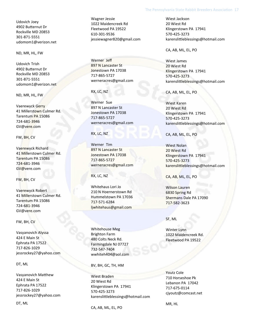Udovich Joey 4902 Butternut Dr Rockville MD 20853 301-871-5551 udomom1@verizon.net

ND, MR, HL, FW

Udovich Trish 4902 Butternut Dr Rockville MD 20853 301-871-5551 udomom1@verizon.net

ND, MR, HL, FW

Vaerewyck Gerry 41 Millerstown Culmer Rd. Tarentum PA 15086 724-681-3946 GV@vere.com

FW, BH, CV

Vaerewyck Richard 41 Millerstown Culmer Rd. Tarentum PA 15086 724-681-3946 GV@vere.com

FW, BH, CV

Vaerewyck Robert 41 Millerstown Culmer Rd. Tarentum PA 15086 724-681-3946 GV@vere.com

FW, BH, CV

Vasyanovich Alyssa 424 E Main St Ephrata PA 17522 717-826-1029 jessrockey27@yahoo.com

DT, ML

Vasyanovich Matthew 424 E Main St Ephrata PA 17522 717-826-1029 jessrockey27@yahoo.com

DT, ML

Wagner Jessie 1022 Maidencreek Rd Fleetwood PA 19522 610-301-9536 jessiewagner820@gmail.com

Werner Jeff 897 N Lancaster St Jonestown PA 17038 717-865-5727 werneracres@gmail.com

# RX, LC, NZ

Werner Sue 897 N Lancaster St Jonestown PA 17038 717-865-5727 werneracres@gmail.com

RX, LC, NZ

Werner Tim 897 N Lancaster St Jonestown PA 17038 717-865-5727 werneracres@gmail.com

RX, LC, NZ

Whitehaus Lori Jo 210 N Hoernerstown Rd Hummelstown PA 17036 717-571-6284 ljwhitehaus@gmail.com

Whitehouse Meg Brighton Farm 480 Colts Neck Rd. Farmingdale NJ 07727 732-547-7404 wwhiteh404@aol.com

BV, BH, GC, TH, HM

Wiest Braden 20 Wiest Rd Klingerstown PA 17941 570-425-3273 karenslittleblessings@hotmail.com

CA, AB, ML, EL, PO

Wiest Jackson 20 Wiest Rd Klingerstown PA 17941 570-425-3273 karenslittleblessings@hotmail.com

CA, AB, ML, EL, PO

Wiest James 20 Wiest Rd Klingerstown PA 17941 570-425-3273 karenslittleblessings@hotmail.com

CA, AB, ML, EL, PO

Wiest Karen 20 Wiest Rd Klingerstown PA 17941 570-425-3273 karenslittleblessings@hotmail.com

CA, AB, ML, EL, PO

Wiest Nolan 20 Wiest Rd Klingerstown PA 17941 570-425-3273 karenslittleblessings@hotmail.com

CA, AB, ML, EL, PO

Wilson Lauren 6830 Spring Rd Shermans Dale PA 17090 717-582-3623

#### SF, ML

Winter Lynn 1022 Maidencreek Rd. Fleetwood PA 19522

Youtz Cole 710 Horseshoe Pk Lebanon PA 17042 717-675-0114 cjyoutz@comcast.net

MR, HL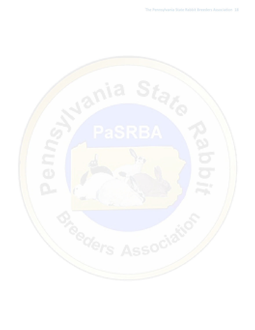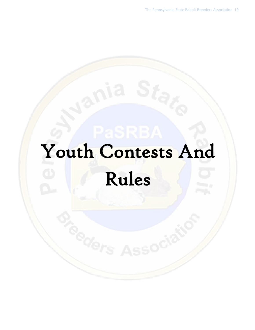# Youth Contests And Rules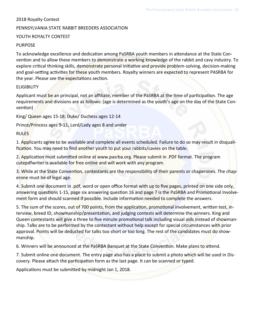# 2018 Royalty Contest

# PENNSYLVANIA STATE RABBIT BREEDERS ASSOCIATION

# YOUTH ROYALTY CONTEST

# PURPOSE

To acknowledge excellence and dedication among PaSRBA youth members in attendance at the State Convention and to allow these members to demonstrate a working knowledge of the rabbit and cavy industry. To explore critical thinking skills, demonstrate personal initiative and provide problem-solving, decision-making and goal-setting activities for these youth members. Royalty winners are expected to represent PASRBA for the year. Please see the expectations section.

# **ELIGIBILITY**

Applicant must be an principal, not an affiliate, member of the PaSRBA at the time of participation. The age requirements and divisions are as follows: (age is determined as the youth's age on the day of the State Convention)

King/ Queen ages 15-18; Duke/ Duchess ages 12-14

Prince/Princess ages 9-11, Lord/Lady ages 8 and under

RULES

1. Applicants agree to be available and complete all events scheduled. Failure to do so may result in disqualification. You may need to find another youth to put your rabbits/cavies on the table.

2. Application must submitted online at www.pasrba.org. Please submit in .PDF format. The program cutepdfwriter is available for free online and will work with any program.

3. While at the State Convention, contestants are the responsibility of their parents or chaperones. The chaperone must be of legal age.

4. Submit one document in .pdf, word or open office format with up to five pages, printed on one side only, answering questions 1-15, page six answering question 16 and page 7 is the PaSRBA and Promotional Involvement form and should scanned if possible. Include information needed to complete the answers.

5. The sum of the scores, out of 700 points, from the application, promotional involvement, written test, interview, breed ID, showmanship/presentation, and judging contests will determine the winners. King and Queen contestants will give a three to five minute promotional talk including visual aids instead of showmanship. Talks are to be performed by the contestant without help except for special circumstances with prior approval. Points will be deducted for talks too short or too long. The rest of the candidates must do showmanship.

6. Winners will be announced at the PaSRBA Banquet at the State Convention. Make plans to attend.

7. Submit online one document. The entry page also has a place to submit a photo which will be used in Discovery. Please attach the participation form as the last page. It can be scanned or typed.

Applications must be submitted by midnight Jan 1, 2018.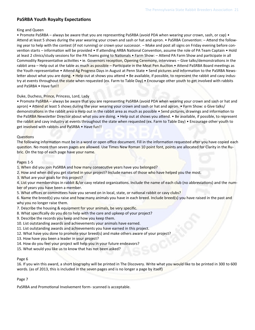# **PaSRBA Youth Royalty Expectations**

# King and Queen

• Promote PaSRBA – always be aware that you are representing PaSRBA (avoid PDA when wearing your crown, sash, or cap) • Attend at least 5 shows during the year wearing your crown and sash or hat and apron. • PaSRBA Convention: – Attend the following year to help with the contest (if not running) or crown your successor. – Make and post all signs on Friday evening before convention starts – information will be provided • If attending ARBA National Convention, assume the role of PA Team Captain • Hold at least 2 clinics/study sessions for the PA Teams going to Nationals • Farm Show: – Attend PA Farm Show and participate in all Commodity Representative activities ▪ ie. Governors reception, Opening Ceremony, interviews – Give talks/demonstrations in the rabbit area – Help out at the table as much as possible – Participate in the Meat Pen Auction • Attend PaSRBA Board meetings as the Youth representative • Attend Ag Progress Days in August at Penn State • Send pictures and information to the PaSRBA Newsletter about what you are doing. • Help out at shows you attend • Be available, if possible, to represent the rabbit and cavy industry at events throughout the state when requested (ex. Farm to Table Day) • Encourage other youth to get involved with rabbits and PaSRBA • Have fun!!

# Duke, Duchess, Prince, Princess, Lord, Lady

• Promote PaSRBA – always be aware that you are representing PaSRBA (avoid PDA when wearing your crown and sash or hat and apron) • Attend at least 5 shows during the year wearing your crown and sash or hat and apron. • Farm Show: o Give talks/ demonstrations in the rabbit area o Help out in the rabbit area as much as possible • Send pictures, drawings and information to the PaSRBA Newsletter Director about what you are doing. • Help out at shows you attend. • Be available, if possible, to represent the rabbit and cavy industry at events throughout the state when requested (ex. Farm to Table Day) • Encourage other youth to get involved with rabbits and PaSRBA • Have fun!!

# Questions

The following information must be in a word or open office document. Fill in the information requested after you have copied each question. No more than seven pages are allowed. Use Times New Roman 10 point font, points are allocated for Clarity in the Rubric. On the top of each page have your name.

# Pages 1-5

1. When did you join PaSRBA and how many consecutive years have you belonged?

2. How and when did you get started in your project? Include names of those who have helped you the most.

3. What are your goals for this project?

4. List your memberships in rabbit &/or cavy related organizations. Include the name of each club (no abbreviations) and the number of years you have been a member.

5. What offices or committees have you served on in local, state, or national rabbit or cavy clubs?

6. Name the breed(s) you raise and how many animals you have in each breed. Include breed(s) you have raised in the past and why you no longer raise them.

- 7. Describe the housing & equipment for your animals, be very specific.
- 8. What specifically do you do to help with the care and upkeep of your project?
- 9. Describe the records you keep and how you keep them.
- 10. List outstanding awards and achievements your animals have earned.
- 11. List outstanding awards and achievements you have earned in this project.
- 12. What have you done to promote your breed(s) and make others aware of your project?
- 13. How have you been a leader in your project?
- 14. How do you feel your project will help you in your future endeavors?
- 15. What would you like us to know that has not been asked?

# Page 6

16. If you win this award, a short biography will be printed in The Discovery. Write what you would like to be printed in 300 to 600 words. (as of 2013, this is included in the seven pages and is no longer a page by itself)

# Page 7

PaSRBA and Promotional Involvement form- scanned is acceptable.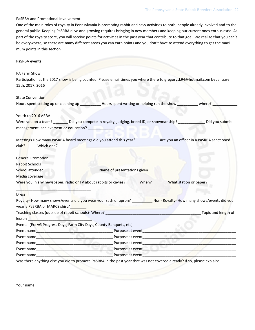# PaSRBA and Promotional Involvement

One of the main roles of royalty in Pennsylvania is promoting rabbit and cavy activities to both, people already involved and to the general public. Keeping PaSRBA alive and growing requires bringing in new members and keeping our current ones enthusiastic. As part of the royalty score, you will receive points for activities in the past year that contribute to that goal. We realize that you can't be everywhere, so there are many different areas you can earn points and you don't have to attend everything to get the maximum points in this section.

### PaSRBA events

# PA Farm Show

Participation at the 2017 show is being counted. Please email times you where there to gregorysk94@hotmail.com by January 15th, 2017. 2016

| <b>State Convention</b>                                                                                                                                                                                                              |                                                                                                                                                                                                                               |                     |
|--------------------------------------------------------------------------------------------------------------------------------------------------------------------------------------------------------------------------------------|-------------------------------------------------------------------------------------------------------------------------------------------------------------------------------------------------------------------------------|---------------------|
|                                                                                                                                                                                                                                      | Hours spent setting up or cleaning up <b>Fig. 1.1 Exercise Section</b> Hours spent writing or helping run the show <b>Fig. 1.1</b> where?                                                                                     |                     |
| Youth to 2016 ARBA                                                                                                                                                                                                                   |                                                                                                                                                                                                                               |                     |
|                                                                                                                                                                                                                                      | Were you on a team? But the Did you compete in royalty, judging, breed ID, or showmanship? But the Did you submit                                                                                                             |                     |
|                                                                                                                                                                                                                                      |                                                                                                                                                                                                                               |                     |
|                                                                                                                                                                                                                                      | Meetings How many PaSRBA board meetings did you attend this year?<br>1992 - Are you an officer in a PaSRBA sanctioned                                                                                                         |                     |
| club? Which one? The club of the contract of the contract of the contract of the contract of the contract of the                                                                                                                     |                                                                                                                                                                                                                               |                     |
| General Promotion                                                                                                                                                                                                                    |                                                                                                                                                                                                                               |                     |
| Rabbit Schools                                                                                                                                                                                                                       |                                                                                                                                                                                                                               |                     |
|                                                                                                                                                                                                                                      | Name of presentations given                                                                                                                                                                                                   |                     |
|                                                                                                                                                                                                                                      |                                                                                                                                                                                                                               |                     |
| Media coverage                                                                                                                                                                                                                       |                                                                                                                                                                                                                               |                     |
|                                                                                                                                                                                                                                      | Were you in any newspaper, radio or TV about rabbits or cavies? _______When? What station or paper?                                                                                                                           |                     |
| <b>Dress</b>                                                                                                                                                                                                                         |                                                                                                                                                                                                                               |                     |
|                                                                                                                                                                                                                                      | Royalty- How many shows/events did you wear your sash or apron? Non-Royalty- How many shows/events did you                                                                                                                    |                     |
| wear a PaSRBA or MARCS shirt?                                                                                                                                                                                                        |                                                                                                                                                                                                                               |                     |
| <b>lesson and the contract of the contract of the contract of the contract of the contract of the contract of the</b>                                                                                                                | Teaching classes (outside of rabbit schools)- Where? ___________________________                                                                                                                                              |                     |
| Events- (Ex: AG Progress Days, Farm City Days, County Banquets, etc)                                                                                                                                                                 |                                                                                                                                                                                                                               |                     |
|                                                                                                                                                                                                                                      | Purpose at event                                                                                                                                                                                                              | Topic and length of |
| Event name <b>that the contract of the contract of the contract of the contract of the contract of the contract of the contract of the contract of the contract of the contract of the contract of the contract of the contract </b> |                                                                                                                                                                                                                               |                     |
|                                                                                                                                                                                                                                      |                                                                                                                                                                                                                               |                     |
|                                                                                                                                                                                                                                      | Event name example at event example at event and the contract of the contract of the contract of the contract of the contract of the contract of the contract of the contract of the contract of the contract of the contract |                     |
|                                                                                                                                                                                                                                      |                                                                                                                                                                                                                               |                     |

Your name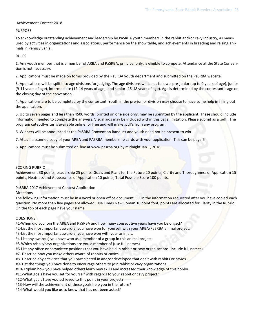# Achievement Contest 2018

# PURPOSE

To acknowledge outstanding achievement and leadership by PaSRBA youth members in the rabbit and/or cavy industry, as measured by activities in organizations and associations, performance on the show table, and achievements in breeding and raising animals in Pennsylvania.

RULES

1. Any youth member that is a member of ARBA and PaSRBA, principal only, is eligible to compete. Attendance at the State Convention is not necessary.

2. Applications must be made on forms provided by the PaSRBA youth department and submitted on the PaSRBA website.

3. Applications will be split into age divisions for judging. The age divisions will be as follows: pre-junior (up to 9 years of age), junior (9-11 years of age), intermediate (12-14 years of age), and senior (15-18 years of age). Age is determined by the contestant's age on the closing day of the convention.

4. Applications are to be completed by the contestant. Youth in the pre-junior division may choose to have some help in filling out the application.

5. Up to seven pages and less than 4500 words, printed on one side only, may be submitted by the applicant. These should include information needed to complete the answers. Visual aids may be included within this page limitation. Please submit as a .pdf . The program cutepdfwriter is available online for free and will make .pdf's from any program.

6. Winners will be announced at the PaSRBA Convention Banquet and youth need not be present to win.

7. Attach a scanned copy of your ARBA and PASRBA membership cards with your application. This can be page 6.

8. Applications must be submitted on-line at www.pasrba.org by midnight Jan 1, 2018.

# SCORING RUBRIC

Achievement 30 points, Leadership 25 points, Goals and Plans for the Future 20 points, Clarity and Thoroughness of Application 15 points, Neatness and Appearance of Application 10 points, Total Possible Score 100 points.

PaSRBA 2017 Achievement Contest Application

# **Directions**

The following information must be in a word or open office document. Fill in the information requested after you have copied each question. No more than five pages are allowed. Use Times New Roman 10 point font, points are allocated for Clarity in the Rubric. On the top of each page have your name.

# QUESTIONS

#1-When did you join the ARBA and PaSRBA and how many consecutive years have you belonged?

#2-List the most important award(s) you have won for yourself with your ARBA/PaSRBA animal project.

#3-List the most important award(s) you have won with your animals.

#4-List any award(s) you have won as a member of a group in this animal project.

#5-Which rabbit/cavy organizations are you a member of (use full names).

#6-List any office or committee positions that you have held in rabbit or cavy organizations (include full names).

#7- Describe how you make others aware of rabbits or cavies.

#8- Describe any activities that you participated in and/or developed that dealt with rabbits or cavies.

#9- List the things you have done to encourage others to join rabbit or cavy organizations.

#10- Explain how you have helped others learn new skills and increased their knowledge of this hobby.

#11-What goals have you set for yourself with regards to your rabbit or cavy project?

#12-What goals have you achieved to this point in your project?

#13-How will the achievement of these goals help you in the future?

#14-What would you like us to know that has not been asked?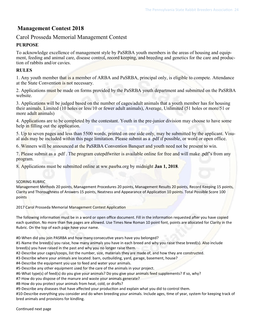# **Management Contest 2018**

# Carol Prosseda Memorial Management Contest

# **PURPOSE**

To acknowledge excellence of management style by PaSRBA youth members in the areas of housing and equipment, feeding and animal care, disease control, record keeping, and breeding and genetics for the care and production of rabbits and/or cavies.

# **RULES**

1. Any youth member that is a member of ARBA and PaSRBA, principal only, is eligible to compete. Attendance at the State Convention is not necessary.

2. Applications must be made on forms provided by the PaSRBA youth department and submitted on the PaSRBA website.

3. Applications will be judged based on the number of cages/adult animals that a youth member has for housing their animals. Limited (10 holes or less/10 or fewer adult animals), Average, Unlimited (51 holes or more/51 or more adult animals)

4. Applications are to be completed by the contestant. Youth in the pre-junior division may choose to have some help in filling out the application.

5. Up to seven pages and less than 5500 words, printed on one side only, may be submitted by the applicant. Visual aids may be included within this page limitation. Please submit as a .pdf if possible, or word or open office.

6. Winners will be announced at the PaSRBA Convention Banquet and youth need not be present to win.

7. Please submit as a .pdf . The program cutepdfwriter is available online for free and will make .pdf's from any program.

8. Applications must be submitted online at ww.pasrba.org by midnight **Jan 1, 2018**.

SCORING RUBRIC

Management Methods 20 points, Management Procedures 20 points, Management Results 20 points, Record Keeping 15 points, Clarity and Thoroughness of Answers 15 points, Neatness and Appearance of Application 10 points. Total Possible Score 100 points

2017 Carol Prosseda Memorial Management Contest Application

The following information must be in a word or open office document. Fill in the information requested after you have copied each question. No more than five pages are allowed. Use Times New Roman 10 point font, points are allocated for Clarity in the Rubric. On the top of each page have your name.

#0-When did you join PASRBA and how many consecutive years have you belonged?

#1-Name the breed(s) you raise, how many animals you have in each breed and why you raise these breed(s). Also include breed(s) you have raised in the past and why you no longer raise them.

#2-Describe your cages/coops, list the number, size, materials they are made of, and how they are constructed.

#3-Describe where your animals are located: barn, outbuilding, yard, garage, basement, house?

#4-Describe the equipment you use to feed and water your animals.

#5-Describe any other equipment used for the care of the animals in your project.

#6-What type(s) of feed(s) do you give your animals? Do you give your animals feed supplements? If so, why?

#7-How do you dispose of the manure and waste your animals generate?

#8-How do you protect your animals from heat, cold, or drafts?

#9-Describe any diseases that have affected your production and explain what you did to control them.

#10-Describe everything you consider and do when breeding your animals. Include ages, time of year, system for keeping track of bred animals and provisions for kindling.

Continued next page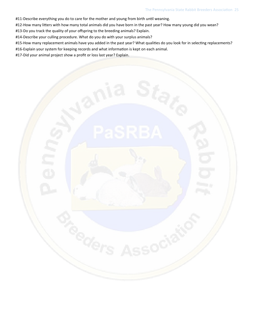#11-Describe everything you do to care for the mother and young from birth until weaning.

#12-How many litters with how many total animals did you have born in the past year? How many young did you wean?

#13-Do you track the quality of your offspring to the breeding animals? Explain.

#14-Describe your culling procedure. What do you do with your surplus animals?

#15-How many replacement animals have you added in the past year? What qualities do you look for in selecting replacements?

#16-Explain your system for keeping records and what information is kept on each animal.

#17-Did your animal project show a profit or loss last year? Explain.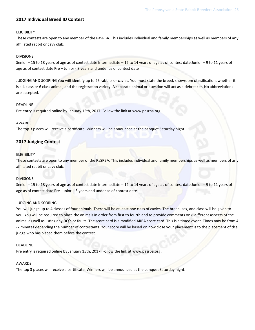# **2017 Individual Breed ID Contest**

# **ELIGIBILITY**

These contests are open to any member of the PaSRBA. This includes individual and family memberships as well as members of any affiliated rabbit or cavy club.

# DIVISIONS

Senior  $-15$  to 18 years of age as of contest date Intermediate  $-12$  to 14 years of age as of contest date Junior  $-9$  to 11 years of age as of contest date Pre  $-$  Junior - 8 years and under as of contest date

JUDGING AND SCORING You will identify up to 25 rabbits or cavies. You must state the breed, showroom classification, whether it is a 4 class or 6 class animal, and the registration variety. A separate animal or question will act as a tiebreaker. No abbreviations are accepted.

# DEADLINE

Pre entry is required online by January 15th, 2017. Follow the link at www.pasrba.org .

# AWARDS

The top 3 places will receive a certificate. Winners will be announced at the banquet Saturday night.

# **2017 Judging Contest**

# **ELIGIBILITY**

These contests are open to any member of the PaSRBA. This includes individual and family memberships as well as members of any affiliated rabbit or cavy club.

# DIVISIONS

Senior – 15 to 18 years of age as of contest date Intermediate – 12 to 14 years of age as of contest date Junior – 9 to 11 years of age as of contest date Pre-Junior  $-8$  years and under as of contest date

# JUDGING AND SCORING

You will judge up to 4 classes of four animals. There will be at least one class of cavies. The breed, sex, and class will be given to you. You will be required to place the animals in order from first to fourth and to provide comments on 8 different aspects of the animal as well as listing any DQ's or faults. The score card is a modified ARBA score card. This is a timed event. Times may be from 4 -7 minutes depending the number of contestants. Your score will be based on how close your placement is to the placement of the judge who has placed them before the contest.

# DEADLINE

Pre entry is required online by January 15th, 2017. Follow the link at www.pasrba.org .

# AWARDS

The top 3 places will receive a certificate. Winners will be announced at the banquet Saturday night.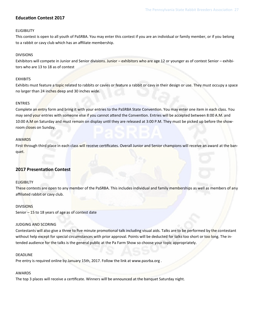# **Education Contest 2017**

# **ELIGIBILITY**

This contest is open to all youth of PaSRBA. You may enter this contest if you are an individual or family member, or if you belong to a rabbit or cavy club which has an affiliate membership.

# DIVISIONS

Exhibitors will compete in Junior and Senior divisions. Junior – exhibitors who are age 12 or younger as of contest Senior – exhibitors who are 13 to 18 as of contest

# EXHIBITS

Exhibits must feature a topic related to rabbits or cavies or feature a rabbit or cavy in their design or use. They must occupy a space no larger than 24 inches deep and 30 inches wide.

# ENTRIES

Complete an entry form and bring it with your entries to the PaSRBA State Convention. You may enter one item in each class. You may send your entries with someone else if you cannot attend the Convention. Entries will be accepted between 8:00 A.M. and 10:00 A.M on Saturday and must remain on display until they are released at 3:00 P.M. They must be picked up before the showroom closes on Sunday.

# AWARDS

First through third place in each class will receive certificates. Overall Junior and Senior champions will receive an award at the banquet.

# **2017 Presentation Contest**

# **ELIGIBILTY**

These contests are open to any member of the PaSRBA. This includes individual and family memberships as well as members of any affiliated rabbit or cavy club.

# DIVISIONS

Senior – 15 to 18 years of age as of contest date

# JUDGING AND SCORING

Contestants will also give a three to five minute promotional talk including visual aids. Talks are to be performed by the contestant without help except for special circumstances with prior approval. Points will be deducted for talks too short or too long. The intended audience for the talks is the general public at the Pa Farm Show so choose your topic appropriately.

# DEADLINE

Pre entry is required online by January 15th, 2017. Follow the link at www.pasrba.org .

# AWARDS

The top 3 places will receive a certificate. Winners will be announced at the banquet Saturday night.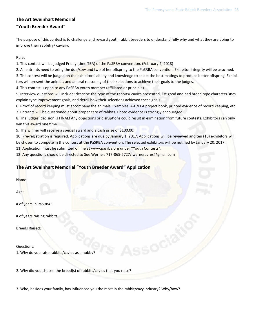# **The Art Sweinhart Memorial "Youth Breeder Award"**

The purpose of this contest is to challenge and reward youth rabbit breeders to understand fully why and what they are doing to improve their rabbitry/ caviary.

Rules

1. This contest will be judged Friday (time TBA) of the PaSRBA convention. (February 2, 2018)

2. All entrants need to bring the doe/sow and two of her offspring to the PaSRBA convention. Exhibitor integrity will be assumed.

3. The contest will be judged on the exhibitors' ability and knowledge to select the best matings to produce better offspring. Exhibitors will present the animals and an oral reasoning of their selections to achieve their goals to the judges.

4. This contest is open to any PaSRBA youth member (affiliated or principle).

5. Interview questions will include: describe the type of the rabbits/ cavies presented, list good and bad breed type characteristics, explain type improvement goals, and detail how their selections achieved these goals.

6. Proof of record keeping must accompany the animals. Examples: 4-H/FFA project book, printed evidence of record keeping, etc. 7. Entrants will be questioned about proper care of rabbits. Photo evidence is strongly encouraged.

8. The judges' decision is FINAL! Any objections or disruptions could result in elimination from future contests. Exhibitors can only win this award one time.

9. The winner will receive a special award and a cash prize of \$100.00.

10. Pre-registration is required. Applications are due by January 1, 2017. Applications will be reviewed and ten (10) exhibitors will be chosen to compete in the contest at the PaSRBA convention. The selected exhibitors will be notified by January 20, 2017.

11. Application must be submitted online at www.pasrba.org under "Youth Contests".

12. Any questions should be directed to Sue Werner: 717-865-5727/ werneracres@gmail.com

# **The Art Sweinhart Memorial "Youth Breeder Award" Application**

Name:

Age:

# of years in PaSRBA:

# of years raising rabbits:

Breeds Raised:

Questions: 1. Why do you raise rabbits/cavies as a hobby?

2. Why did you choose the breed(s) of rabbits/cavies that you raise?

3. Who, besides your family, has influenced you the most in the rabbit/cavy industry? Why/how?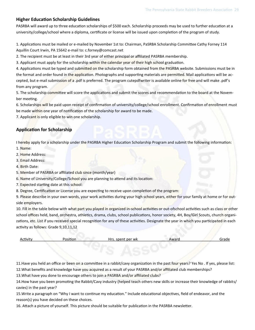# **Higher Education Scholarship Guidelines**

PASRBA will award up to three education scholarships of \$500 each. Scholarship proceeds may be used to further education at a university/college/school where a diploma, certificate or license will be issued upon completion of the program of study.

1. Applications must be mailed or e-mailed by November 1st to: Chairman, PaSRBA Scholarship Committee Cathy Forney 114 Aquillin Court Irwin, PA 15642 e-mail to: c.forney@comcast.net

2. The recipient must be at least in their 3rd year of either principal or affiliated PASRBA membership.

3. Applicant must apply for the scholarship within the calendar year of their high school graduation.

4. Applications must be typed and submitted on the scholarship form obtained from the PASRBA website. Submissions must be in the format and order found in the application. Photographs and supporting materials are permitted. Mail applications will be accepted, but e-mail submission of a .pdf is preferred. The program cutepdfwriter is available online for free and will make .pdf's from any program.

5. The scholarship committee will score the applications and submit the scores and recommendation to the board at the November meeting.

6. Scholarships will be paid upon receipt of confirmation of university/college/school enrollment. Confirmation of enrollment must be made within one year of notification of the scholarship for award to be made.

7. Applicant is only eligible to win one scholarship.

# **Application for Scholarship**

I hereby apply for a scholarship under the PASRBA Higher Education Scholarship Program and submit the following information: 1. Name:

2. Home Address:

3. Email Address:

4. Birth Date:

- 5. Member of PASRBA or affiliated club since (month/year)
- 6. Name of University/College/School you are planning to attend and its location:
- 7. Expected starting date at this school:

8. Degree, Certification or License you are expecting to receive upon completion of the program:

9. Please describe in your own words, your work activities during your high school years, either for your family at home or for outside employers.

10. Fill in the table below with what part you played in organized in-school activities or out-ofschool activities such as class or other school offices held, band, orchestra, athletics, drama, clubs, school publications, honor society, 4H, Boy/Girl Scouts, church organizations, etc. List if you received special recognition for any of these activities. Designate the year in which you participated in each activity as follows: Grade 9,10,11,12

| Activity | Position | Hrs. spent per wk | Award | irade |
|----------|----------|-------------------|-------|-------|
|          |          |                   |       |       |

11.Have you held an office or been on a committee in a rabbit/cavy organization in the past four years? Yes No . If yes, please list:

12.What benefits and knowledge have you acquired as a result of your PASRBA and/or affiliated club memberships?

13.What have you done to encourage others to join a PASRBA and/or affiliated clubs?

14.How have you been promoting the Rabbit/Cavy industry (helped teach others new skills or increase their knowledge of rabbits/ cavies) in the past year?

15.Write a paragraph on "Why I want to continue my education." Include educational objectives, field of endeavor, and the reason(s) you have decided on these choices.

16. Attach a picture of yourself. This picture should be suitable for publication in the PASRBA newsletter.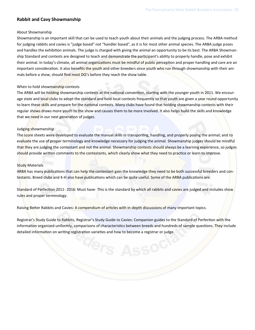# **Rabbit and Cavy Showmanship**

# About Showmanship

Showmanship is an important skill that can be used to teach youth about their animals and the judging process. The ARBA method for judging rabbits and cavies is "judge based" not "handler based", as it is for most other animal species. The ARBA judge poses and handles the exhibition animals. The judge is charged with giving the animal an opportunity to be its best. The ARBA Showmanship Standard and contests are designed to teach and demonstrate the participant's ability to properly handle, pose and exhibit their animal. In today's climate, all animal organizations must be mindful of public perception and proper handling and care are an important consideration. It also benefits the youth and other breeders since youth who run through showmanship with their animals before a show, should find most DQ's before they reach the show table.

# When to hold showmanship contests

The ARBA will be holding showmanship contests at the national convention, starting with the younger youth in 2011. We encourage state and local clubs to adopt the standard and hold local contests frequently so that youth are given a year round opportunity to learn these skills and prepare for the national contests. Many clubs have found that holding showmanship contests with their regular shows draws more youth to the show and causes them to be more involved. It also helps build the skills and knowledge that we need in our next generation of judges.

# Judging showmanship

The score sheets were developed to evaluate the manual skills in transporting, handling, and properly posing the animal; and to evaluate the use of proper terminology and knowledge necessary for judging the animal. Showmanship judges should be mindful that they are judging the contestant and not the animal. Showmanship contests should always be a learning experience, so judges should provide written comments to the contestants, which clearly show what they need to practice or learn to improve.

# **Study Materials**

ARBA has many publications that can help the contestant gain the knowledge they need to be both successful breeders and contestants. Breed clubs and 4-H also have publications which can be quite useful. Some of the ARBA publications are:

Standard of Perfection 2011- 2016: Must have- This is the standard by which all rabbits and cavies are judged and includes show rules and proper terminology.

Raising Better Rabbits and Cavies: A compendium of articles with in-depth discussions of many important topics.

Registrar's Study Guide to Rabbits, Registrar's Study Guide to Cavies: Companion guides to the Standard of Perfection with the information organized uniformly, comparisons of characteristics between breeds and hundreds of sample questions. They include detailed information on writing registration varieties and how to become a registrar or judge.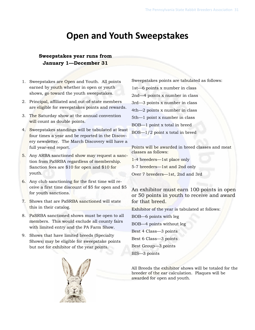# **Open and Youth Sweepstakes**

# **Sweepstakes year runs from January 1—December 31**

- 1. Sweepstakes are Open and Youth. All points earned by youth whether in open or youth shows, go toward the youth sweepstakes.
- 2. Principal, affiliated and out-of-state members are eligible for sweepstakes points and rewards.
- 3. The Saturday show at the annual convention will count as double points.
- 4. Sweepstakes standings will be tabulated at least four times a year and be reported in the Discovery newsletter. The March Discovery will have a full year-end report.
- 5. Any ARBA sanctioned show may request a sanction from PaSRBA regardless of membership. Sanction fees are \$10 for open and \$10 for youth.
- 6. Any club sanctioning for the first time will receive a first time discount of \$5 for open and \$5 for youth sanctions.
- 7. Shows that are PaSRBA sanctioned will state this in their catalog.
- 8. PaSRBA sanctioned shows must be open to all members. This would exclude all county fairs with limited entry and the PA Farm Show.
- 9. Shows that have limited breeds (Specialty Shows) may be eligible for sweepstake points but not for exhibitor of the year points.



Sweepstakes points are tabulated as follows: 1st—6 points x number in class 2nd—4 points x number in class 3rd—3 points x number in class 4th—2 points x number in class 5th—1 point x number in class BOB—1 point x total in breed BOS—1/2 point x total in breed

Points will be awarded in breed classes and meat classes as follows:

1-4 breeders—1st place only

- 5-7 breeders—1st and 2nd only
- Over 7 breeders—1st, 2nd and 3rd

An exhibitor must earn 100 points in open or 50 points in youth to receive and award for that breed.

Exhibitor of the year is tabulated at follows:

- BOB—6 points with leg
- BOB—4 points without leg
- Best 4 Class—3 points
- Best 6 Class—3 points
- Best Group—3 points
- BIS—3 points

All Breeds the exhibitor shows will be totaled for the breeder of the ear calculation. Plaques will be awarded for open and youth.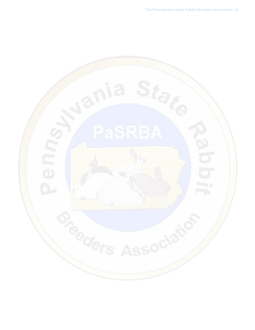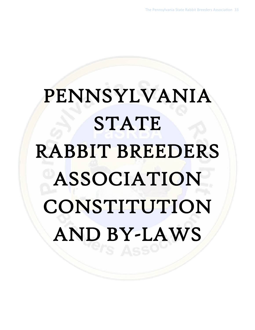# PENNSYLVANIA STATE RABBIT BREEDERS ASSOCIATION **CONSTITUTION** AND BY-LAWS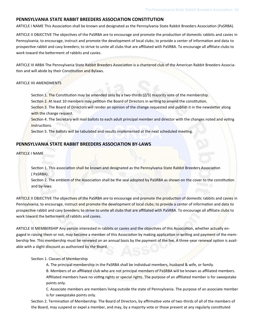# **PENNSYLVANIA STATE RABBIT BREEDERS ASSOCIATION CONSTITUTION**

ARTICLE I NAME This Association shall be known and designated as the Pennsylvania State Rabbit Breeders Association (PaSRBA).

ARTICLE II OBJECTIVE The objectives of the PaSRBA are to encourage and promote the production of domestic rabbits and cavies in Pennsylvania; to encourage, instruct and promote the development of local clubs; to provide a center of information and data to prospective rabbit and cavy breeders; to strive to unite all clubs that are affiliated with PaSRBA. To encourage all affiliate clubs to work toward the betterment of rabbits and cavies.

ARTICLE III ARBA The Pennsylvania State Rabbit Breeders Association is a chartered club of the American Rabbit Breeders Association and will abide by their Constitution and Bylaws.

# ARTICLE IIII AMENDMENTS

Section 1. The Constitution may be amended only by a two-thirds (2/3) majority vote of the membership.

Section 2. At least 10 members may petition the Board of Directors in writing to amend the constitution.

Section 3. The Board of Directors will render an opinion of the change requested and publish it in the newsletter along with the change request.

Section 4. The Secretary will mail ballots to each adult principal member and director with the changes noted and voting instructions.

Section 5. The ballots will be tabulated and results implemented at the next scheduled meeting.

# **PENNSYLVANIA STATE RABBIT BREEDERS ASSOCIATION BY-LAWS**

ARTICLE I NAME

Section 1. This association shall be known and designated as the Pennsylvania State Rabbit Breeders Association ( PaSRBA).

Section 2. The emblem of the Association shall be the seal adopted by PaSRBA as shown on the cover to the constitution and by-laws.

ARTICLE II OBJECTIVE The objectives of the PaSRBA are to encourage and promote the production of domestic rabbits and cavies in Pennsylvania; to encourage, instruct and promote the development of local clubs; to provide a center of information and data to prospective rabbit and cavy breeders; to strive to unite all clubs that are affiliated with PaSRBA. To encourage all affiliate clubs to work toward the betterment of rabbits and cavies.

ARTICLE III MEMBERSHIP Any person interested in rabbits or cavies and the objectives of this Association, whether actually engaged in raising them or not, may become a member of this Association by making application in writing and payment of the membership fee. This membership must be renewed on an annual basis by the payment of the fee. A three-year renewal option is available with a slight discount as authorized by the Board.

# Section 1. Classes of Membership

A. The principal membership in the PaSRBA shall be individual members, husband & wife, or family.

B. Members of an affiliated club who are not principal members of PaSRBA will be known as affiliated members. Affiliated members have no voting rights or special rights. The purpose of an affiliated member is for sweepstake points only.

C. Associate members are members living outside the state of Pennsylvania. The purpose of an associate member is for sweepstake points only.

Section 2. Termination of Membership: The Board of Directors, by affirmative vote of two-thirds of all of the members of the Board, may suspend or expel a member, and may, by a majority vote or those present at any regularly constituted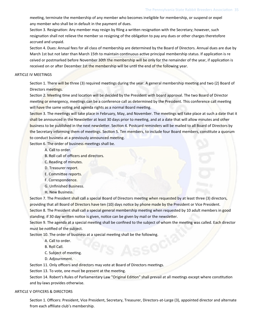meeting, terminate the membership of any member who becomes ineligible for membership, or suspend or expel any member who shall be in default in the payment of dues.

Section 3. Resignation: Any member may resign by filing a written resignation with the Secretary; however, such resignation shall not relieve the member so resigning of the obligation to pay any dues or other charges theretofore accrued and unpaid.

Section 4. Dues: Annual fees for all class of membership are determined by the Board of Directors. Annual dues are due by March 1st but not later than March 15th to maintain continuous active principal membership status. If application is re ceived or postmarked before November 30th the membership will be only for the remainder of the year, if application is received on or after December 1st the membership will be until the end of the following year.

#### ARTICLE IV MEETINGS

Section 1. There will be three (3) required meetings during the year. A general membership meeting and two (2) Board of Directors meetings.

Section 2. Meeting time and location will be decided by the President with board approval. The two Board of Director meeting or emergency, meetings can be a conference call as determined by the President. This conference call meeting will have the same voting and agenda rights as a normal Board meeting.

Section 3. The meetings will take place in February, May, and November. The meetings will take place at such a date that it shall be announced in the Newsletter at least 30 days prior to meeting, and at a date that will allow minutes and other business to be published in the next newsletter. Section 4. Postcard reminders will be mailed to all Board of Directors by the Secretary informing them of meetings. Section 5. Ten members, to include four Board members, constitute a quorum to conduct business at a previously announced meeting.

Section 6. The order of business meetings shall be.

A. Call to order.

- B. Roll call of officers and directors.
- C. Reading of minutes.
- D. Treasurer report.
- E. Committee reports.
- F. Correspondence.
- G. Unfinished Business.
- H. New Business.

Section 7. The President shall call a special Board of Directors meeting when requested by at least three (3) directors, providing that all Board of Directors have ten (10) days notice by phone made by the President or Vice President. Section 8. The President shall call a special general membership meeting when requested by 10 adult members in good standing; if 30 day written notice is given, notice can be given by mail or the newsletter.

Section 9. The agenda at a special meeting shall be confined to the subject of whom the meeting was called. Each director must be notified of the subject.

Section 10. The order of business at a special meeting shall be the following.

- A. Call to order.
- B. Roll Call.
- C. Subject of meeting.
- D. Adjournment.

Section 11. Only officers and directors may vote at Board of Directors meetings.

Section 13. To vote, one must be present at the meeting.

Section 14. Robert's Rules of Parliamentary Law "Original Edition" shall prevail at all meetings except where constitution and by-laws provides otherwise.

# ARTICLE V OFFICERS & DIRECTORS

Section 1. Officers: President, Vice President, Secretary, Treasurer, Directors-at-Large (3), appointed director and alternate from each affiliate club's membership.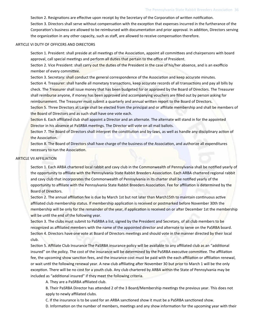Section 2. Resignations are effective upon receipt by the Secretary of the Corporation of written notification. Section 3. Directors shall serve without compensation with the exception that expenses incurred in the furtherance of the Corporation's business are allowed to be reimbursed with documentation and prior approval. In addition, Directors serving the organization in any other capacity, such as staff, are allowed to receive compensation therefore.

# ARTICLE VI DUTY OF OFFICERS AND DIRECTORS

Section 1. President: shall preside at all meetings of the Association, appoint all committees and chairpersons with board approval, call special meetings and perform all duties that pertain to the office of President.

Section 2. Vice President: shall carry out the duties of the President in the case of his/her absence, and is an exofficio member of every committee.

Section 3. Secretary: shall conduct the general correspondence of the Association and keep accurate minutes. Section 4. Treasurer: shall handle all monetary transactions, keep accurate records of all transactions and pay all bills by check. The Treasurer shall issue money that has been budgeted for or approved by the Board of Directors. The Treasurer shall reimburse anyone, if money has been approved and accompanying vouchers are filled out by person asking for reimbursement. The Treasurer must submit a quarterly and annual written report to the Board of Directors.

Section 5. Three Directors at Large shall be elected from the principal and or affiliate membership and shall be members of the Board of Directors and as such shall have one vote each.

Section 6. Each affiliated club shall appoint a Director and an alternate. The alternate will stand in for the appointed Director in his absence at PaSRBA meetings. The Director will vote on all mail ballots.

Section 7. The Board of Directors shall interpret the constitution and by-laws, as well as handle any disciplinary action of the Association.

Section 8. The Board of Directors shall have charge of the business of the Association, and authorize all expenditures necessary to run the Association.

# ARTICLE VII AFFILIATION

Section 1. Each ARBA chartered local rabbit and cavy club in the Commonwealth of Pennsylvania shall be notified yearly of the opportunity to affiliate with the Pennsylvania State Rabbit Breeders Association. Each ARBA chartered regional rabbit and cavy club that incorporates the Commonwealth of Pennsylvania in its charter shall be notified yearly of the opportunity to affiliate with the Pennsylvania State Rabbit Breeders Association. Fee for affiliation is determined by the Board of Directors.

Section 2. The annual affiliation fee is due by March 1st but not later than March15th to maintain continuous active affiliated club membership status. If membership application is received or postmarked before November 30th the membership will be only for the remainder of the year, if application is received on or after December 1st the membership will be until the end of the following year.

Section 3. The clubs must submit to PaSRBA a list, signed by the President and Secretary, of all club members to be recognized as affiliated members with the name of the appointed director and alternate to serve on the PaSRBA board. Section 4. Directors have one vote at Board of Directors meetings and should vote in the manner directed by their local club.

Section 5. Affiliate Club Insurance The PaSRBA insurance policy will be available to any affiliated club as an "additional insured" on the policy. The cost of the insurance will be determined by the PaSRBA executive committee. The affiliation fee, the upcoming show sanction fees, and the insurance cost must be paid with the each affiliation or affiliation renewal, or wait until the following renewal year. A new club affiliating after November 30 but prior to March 1 will be the only exception. There will be no cost for a youth club. Any club chartered by ARBA within the State of Pennsylvania may be included as "additional insured" if they meet the following criteria.

A. They are a PaSRBA affiliated club.

B. Their PaSRBA Director has attended 2 of the 3 Board/Membership meetings the previous year. This does not apply to newly affiliated clubs.

C. If the insurance is to be used for an ARBA sanctioned show it must be a PaSRBA sanctioned show.

D. Information on the number of members, meetings and any show information for the upcoming year with their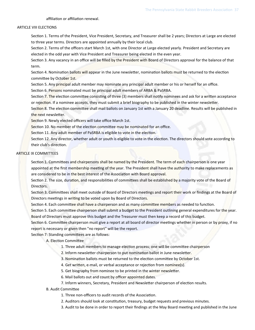The Pennsylvania State Rabbit Breeders Association 37

affiliation or affiliation renewal.

# ARTICLE VIII ELECTIONS

Section 1. Terms of the President, Vice President, Secretary, and Treasurer shall be 2 years; Directors at Large are elected to three year terms. Directors are appointed annually by their local club.

Section 2. Terms of the officers start March 1st, with one Director at Large elected yearly. President and Secretary are elected in the odd year with Vice President and Treasurer being elected in the even year.

Section 3. Any vacancy in an office will be filled by the President with Board of Directors approval for the balance of that term.

Section 4. Nomination ballots will appear in the June newsletter, nomination ballots must be returned to the election committee by October 1st.

Section 5. Any principal adult member may nominate any principal adult member or his or herself for an office.

Section 6. Persons nominated must be principal adult members of ARBA & PaSRBA.

Section 7. The election committee consisting of three (3) members shall notify nominees and ask for a written acceptance or rejection. If a nominee accepts, they must submit a brief biography to be published in the winter newsletter.

Section 8. The election committee shall mail ballots on January 1st with a January 20 deadline. Results will be published in the next newsletter.

Section 9. Newly elected officers will take office March 1st.

Section 10. No member of the election committee may be nominated for an office.

Section 11. Any adult member of PaSRBA is eligible to vote in the election.

Section 12. Any director, whether adult or youth is eligible to vote in the election. The directors should vote according to their club's direction.

# ARTICLE IX COMMITTEES

Section 1. Committees and chairpersons shall be named by the President. The term of each chairperson is one year appointed at the first membership meeting of the year. The President shall have the authority to make replacements as are considered to be in the best interest of the Association with Board approval.

Section 2. The size, duration, and responsibilities of committees shall be established by a majority vote of the Board of Directors.

Section 3. Committees shall meet outside of Board of Directors meetings and report their work or findings at the Board of Directors meetings in writing to be voted upon by Board of Directors.

Section 4. Each committee shall have a chairperson and as many committee members as needed to function.

Section 5. Each committee chairperson shall submit a budget to the President outlining general expenditures for the year. Board of Directors must approve this budget and the Treasurer must then keep a record of this budget.

Section 6. Committee chairperson must give a report at all board of director meetings whether in person or by proxy, if no report is necessary or given then "no report" will be the report.

Section 7: Standing committees are as follows:

A. Election Committee

1. Three adult members to manage election process; one will be committee chairperson

- 2. Inform newsletter chairperson to put nomination ballot in June newsletter.
- 3. Nomination ballots must be returned to the election committee by October 1st.
- 4. Get written, e-mail, or verbal acceptance or rejection from nominee(s).
- 5. Get biography from nominee to be printed in the winter newsletter.
- 6. Mail ballots out and count by officer appointed dates.
- 7. Inform winners, Secretary, President and Newsletter chairperson of election results.

#### B. Audit Committee

1. Three non-officers to audit records of the Association.

- 2. Auditors should look at constitution, treasury, budget requests and previous minutes.
- 3. Audit to be done in order to report their findings at the May Board meeting and published in the June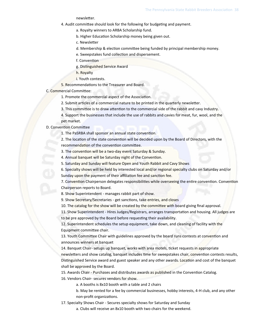newsletter.

- 4. Audit committee should look for the following for budgeting and payment.
	- a. Royalty winners to ARBA Scholarship fund.
	- b. Higher Education Scholarship money being given out.
	- c. Newsletter
	- d. Membership & election committee being funded by principal membership money.
	- e. Sweepstakes fund collection and dispersement.
	- f. Convention
	- g. Distinguished Service Award
	- h. Royalty
	- i. Youth contests.

5. Recommendations to the Treasurer and Board.

C. Commercial Committee:

1. Promote the commercial aspect of the Association.

- 2. Submit articles of a commercial nature to be printed in the quarterly newsletter.
- 3. This committee is to draw attention to the commercial side of the rabbit and cavy Industry.
- 4. Support the businesses that include the use of rabbits and cavies for meat, fur, wool, and the pet market.

# D. Convention Committee

1. The PaSRBA shall sponsor an annual state convention.

2. The location of the state convention will be decided upon by the Board of Directors, with the recommendation of the convention committee.

3. The convention will be a two-day event Saturday & Sunday.

4. Annual banquet will be Saturday night of the Convention.

5. Saturday and Sunday will feature Open and Youth Rabbit and Cavy Shows

6. Specialty shows will be held by interested local and/or regional specialty clubs on Saturday and/or Sunday upon the payment of their affiliation fee and sanction fee.

7. Convention Chairperson delegates responsibilities while overseeing the entire convention. Convention Chairperson reports to Board.

8. Show Superintendent - manages rabbit part of show.

9. Show Secretary/Secretaries - get sanctions, take entries, and closes

10. The catalog for the show will be created by the committee with board giving final approval.

11. Show Superintendent - Hires Judges/Registrars, arranges transportation and housing. All judges are to be pre approved by the Board before requesting their availability.

12. Superintendent schedules the setup equipment, take down, and cleaning of facility with the Equipment committee chair.

13. Youth Committee Chair with guidelines approved by the board runs contests at convention and announces winners at banquet

14. Banquet Chair- setups up banquet, works with area motels, ticket requests in appropriate newsletters and show catalog, banquet includes time for sweepstakes chair, convention contests results, Distinguished Service award and guest speaker and any other awards. Location and cost of the banquet shall be approved by the Board.

15. Awards Chair - Purchases and distributes awards as published in the Convention Catalog.

16. Vendors Chair- secures vendors for show.

a. A booths is 8x10 booth with a table and 2 chairs

b. May be rented for a fee by commercial businesses, hobby interests, 4-H club, and any other non-profit organizations.

17. Specialty Shows Chair - Secures specialty shows for Saturday and Sunday

a. Clubs will receive an 8x10 booth with two chairs for the weekend.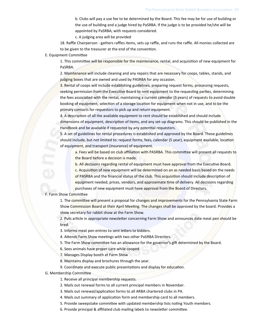b. Clubs will pay a use fee to be determined by the Board. This fee may be for use of building or the use of building and a judge hired by PaSRBA. If the judge is to be provided he/she will be appointed by PaSRBA; with requests considered.

c. A judging area will be provided

18. Raffle Chairperson - gathers raffles items, sets up raffle, and runs the raffle. All monies collected are to be given to the treasurer at the end of the convention.

## E. Equipment Committee

1. This committee will be responsible for the maintenance, rental, and acquisition of new equipment for PaSRBA.

2. Maintenance will include cleaning and any repairs that are necessary for coops, tables, stands, and judging boxes that are owned and used by PASRBA for any occasion.

3. Rental of coops will include establishing guidelines, preparing request forms, processing requests, seeking permission from the Executive Board to rent equipment to the requesting parties, determining the fees associated with the rental, maintaining a current calendar (5 years) of requests to avoid double booking of equipment, selection of a storage location for equipment when not in use, and to be the primary contacts for requestors to pick up and return equipment.

4. A description of all the available equipment to rent should be established and should include dimensions of equipment, description of items, and any set-up diagrams. This should be published in the Handbook and be available if requested by any potential requestors.

5. A set of guidelines for rental procedures is established and approved by the Board. These guidelines should include, but not limited to: request forms, fees, calendar (5 year), equipment available, location of equipment, and transport (insurance) of equipment.

a. Fees will be based on club affiliation with PASRBA. This committee will present all requests to the Board before a decision is made.

b. All decisions regarding rental of equipment must have approval from the Executive Board. c. Acquisition of new equipment will be determined on an as needed basis based on the needs of PASRBA and the financial status of the club. This acquisition should include description of equipment needed, prices, vendors, and approximate time of delivery. All decisions regarding purchases of new equipment must have approval from the Board of Directors.

# F. Farm Show Committee

1. The committee will present a proposal for changes and improvements for the Pennsylvania State Farm Show Commission Board at their April Meeting. The changes shall be approved by the board. Provides a show secretary for rabbit show at the Farm Show.

2. Puts article in appropriate newsletter concerning Farm Show and announces date meat pen should be bred.

- 3. Informs meat pen entries to sent letters to bidders.
- 4. Attends Farm Show meetings with two other PaSRBA Directors.
- 5. The Farm Show committee has an allowance for the governor's gift determined by the Board.
- 6. Sees animals have proper care while cooped.
- 7. Manages Display booth at Farm Show
- 8. Maintains display and brochures through the year.
- 9. Coordinate and execute public presentations and display for education.
- G. Membership Committee
	- 1. Receive all principal membership requests.
	- 2. Mails out renewal forms to all current principal members in November.
	- 3. Mails out renewal/application forms to all ARBA chartered clubs in PA.
	- 4. Mails out summary of application form and membership card to all members.
	- 5. Provide sweepstake committee with updated membership lists noting Youth members.
	- 6. Provide principal & affiliated club mailing labels to newsletter committee.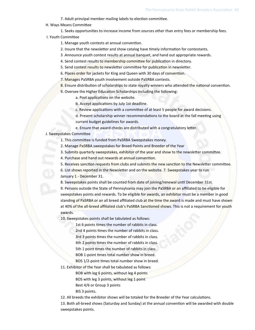- 7. Adult principal member mailing labels to election committee.
- H. Ways Means Committee

1. Seeks opportunities to increase income from sources other than entry fees or membership fees.

- I. Youth Committee
	- 1. Manage youth contests at annual convention.
	- 2. Insure that the newsletter and show catalog have timely information for contestants.
	- 3 .Announce youth contest results at annual banquet, and hand out appropriate rewards.
	- 4. Send contest results to membership committee for publication in directory.
	- 5. Send contest results to newsletter committee for publication in newsletter.
	- 6. Places order for jackets for King and Queen with 30 days of convention.
	- 7. Manages PaSRBA youth involvement outside PaSRBA contests.
	- 8. Ensure distribution of scholarships to state royalty winners who attended the national convention.
	- 9. Oversee the Higher Education Scholarships including the following:
		- a. Post applications on the website.
		- b. Accept applications by July 1st deadline.
		- c. Review applications with a committee of at least 5 people for award decisions.
		- d. Present scholarship winner recommendations to the board at the fall meeting using current budget guidelines for awards.
		- e. Ensure that award checks are distributed with a congratulatory letter.

#### J. Sweepstakes Committee

- 1. This committee is funded from PaSRBA Sweepstakes money.
- 2. Manage PaSRBA sweepstakes for Breed Points and Breeder of the Year
- 3. Submits quarterly sweepstakes, exhibitor of the year and show to the newsletter committee.
- 4. Purchase and hand out rewards at annual convention.
- 5. Receives sanction requests from clubs and submits the new sanction to the Newsletter committee.
- 6. List shows reported in the Newsletter and on the website. 7. Sweepstakes year to run January 1 - December 31.
- 8. Sweepstakes points shall be counted from date of joining/renewal until December 31st.

9. Persons outside the State of Pennsylvania may join the PaSRBA or an affiliated to be eligible for sweepstakes points and rewards. To be eligible for awards, an exhibitor must be a member in good standing of PaSRBA or an all breed affiliated club at the time the award is made and must have shown at 40% of the all-breed affiliated club's PaSRBA Sanctioned shows. This is not a requirement for youth awards.

10. Sweepstakes points shall be tabulated as follows:

1st 6 points times the number of rabbits in class. 2nd 4 points times the number of rabbits in class. 3rd 3 points times the number of rabbits in class. 4th 2 points times the number of rabbits in class. 5th 1 point times the number of rabbits in class. BOB 1-point times total number show in breed. BOS 1/2-point times total number show in breed.

11. Exhibitor of the Year shall be tabulated as follows:

BOB with leg 6 points, without leg 4 points

BOS with leg 3 points, without leg 1 point

- Best 4/6 or Group 3 points
- BIS 3 points.

12. All breeds the exhibitor shows will be totaled for the Breeder of the Year calculations.

13. Both all-breed shows (Saturday and Sunday) at the annual convention will be awarded with double sweepstakes points.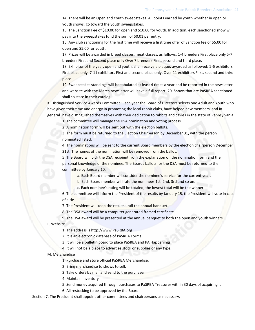14. There will be an Open and Youth sweepstakes. All points earned by youth whether in open or youth shows, go toward the youth sweepstakes.

15. The Sanction Fee of \$10.00 for open and \$10.00 for youth. In addition, each sanctioned show will pay into the sweepstakes fund the sum of \$0.01 per entry.

16. Any club sanctioning for the first time will receive a first time offer of Sanction fee of \$5.00 for open and \$5.00 for youth.

17. Prizes will be awarded in breed classes, meat classes, as follows. 1-4 breeders First place only 5-7 breeders First and Second place only Over 7 breeders First, second and third place.

18. Exhibitor of the year, open and youth, shall receive a plaque, awarded as followed: 1-6 exhibitors First place only. 7-11 exhibitors First and second place only. Over 11 exhibitors First, second and third place.

19. Sweepstakes standings will be tabulated at least 4 times a year and be reported in the newsletter and website with the March newsletter will have a full report. 20. Shows that are PaSRBA sanctioned shall so state in their catalog.

K. Distinguished Service Awards Committee: Each year the Board of Directors selects one Adult and Youth who have given their time and energy in promoting the local rabbit clubs, have helped new members, and in general have distinguished themselves with their dedication to rabbits and cavies in the state of Pennsylvania.

1. The committee will manage the DSA nomination and voting process.

2. A nomination form will be sent out with the election ballots.

3. The form must be returned to the Election Chairperson by December 31, with the person nominated listed.

4. The nominations will be sent to the current Board members by the election chairperson December 31st. The names of the nomination will be removed from the ballot.

5. The Board will pick the DSA recipient from the explanation on the nomination form and the personal knowledge of the nominee. The Boards ballots for the DSA must be returned to the committee by January 10.

a. Each Board member will consider the nominee's service for the current year.

b. Each Board member will rate the nominees 1st, 2nd, 3rd and so on.

c. Each nominee's rating will be totaled; the lowest total will be the winner.

6. The committee will inform the President of the results by January 15, the President will vote in case of a tie.

7. The President will keep the results until the annual banquet.

8. The DSA award will be a computer generated framed certificate.

9. The DSA award will be presented at the annual banquet to both the open and youth winners.

L. Website

1. The address is http://www.PaSRBA.org

2. It is an electronic database of PaSRBA Forms.

3. It will be a bulletin board to place PaSRBA and PA Happenings.

4. It will not be a place to advertise stock or supplies of any type.

## M. Merchandise

1. Purchase and store official PaSRBA Merchandise.

2. Bring merchandise to shows to sell.

3. Take orders by mail and send to the purchaser

4. Maintain inventory

5. Send money acquired through purchases to PaSRBA Treasurer within 30 days of acquiring it

6. All restocking to be approved by the Board

Section 7. The President shall appoint other committees and chairpersons as necessary.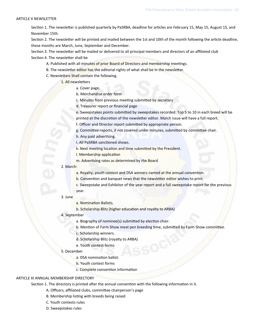#### ARTICLE X NEWSLETTER

Section 1. The newsletter is published quarterly by PaSRBA, deadline for articles are February 15, May 15, August 15, and November 15th.

Section 2. The newsletter will be printed and mailed between the 1st and 10th of the month following the article deadline, these months are March, June, September and December.

Section 3. The newsletter will be mailed or delivered to all principal members and directors of an affiliated club Section 4. The newsletter shall be

- A. Published with all minutes of prior Board of Directors and membership meetings.
- B. The newsletter editor has the editorial rights of what shall be in the newsletter.
- C. Newsletters Shall contain the following.
	- 1. All newsletters
		- a. Cover page.
		- b. Merchandise order form
		- c. Minutes from previous meeting submitted by secretary
		- d. Treasurer report or financial page
		- e. Sweepstakes points submitted by sweepstakes recorded. Top 5 to 10 in each breed will be
		- printed at the discretion of the newsletter editor. March issue will have a full report.

f. Officer and Director report submitted by appropriate person.

- g. Committee reports, if not covered under minutes, submitted by committee chair.
- h. Any paid advertising.
- I. All PaSRBA sanctioned shows.
- k. Next meeting location and time submitted by the President.
- l. Membership application
- m. Advertising rates as determined by the Board
- 2. March:
	- a. Royalty, youth contest and DSA winners named at the annual convention.
	- b. Convention and banquet news that the newsletter editor wishes to print.
	- c. Sweepstake and Exhibitor of the year report and a full sweepstake report for the previous year.
- 3. June
	- a. Nomination Ballots.
	- b. Scholarship Blitz (higher education and royalty to ARBA)
- 4. September
	- a. Biography of nominee(s) submitted by election chair.
	- b. Mention of Farm Show meat pen breeding time, submitted by Farm Show committee.
	- c. Scholarship winners.
	- d. Scholarship Blitz (royalty to ARBA)
	- e. Youth contest forms
- 5. December
	- a. DSA nomination ballot.
	- b. Youth contest forms
	- c. Complete convention information

# ARTICLE XI ANNUAL MEMBERSHIP DIRECTORY

Section 1. The directory is printed after the annual convention with the following information in it.

A. Officers, affiliated clubs, committee chairperson's page

- B. Membership listing with breeds being raised
- C. Youth contests rules
- D. Sweepstakes rules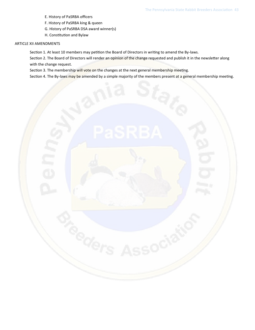- E. History of PaSRBA officers
- F. History of PaSRBA king & queen
- G. History of PaSRBA DSA award winner(s)
- H. Constitution and Bylaw

# ARTICLE XII AMENDMENTS

Section 1. At least 10 members may petition the Board of Directors in writing to amend the By-laws.

Section 2. The Board of Directors will render an opinion of the change requested and publish it in the newsletter along with the change request.

Section 3. The membership will vote on the changes at the next general membership meeting.

Section 4. The By-laws may be amended by a simple majority of the members present at a general membership meeting.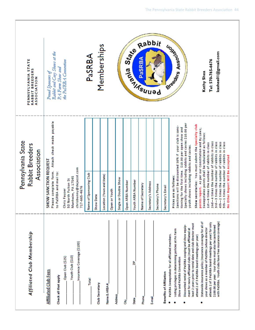| Affiliated Club Membership                                                                                                                                                                                                                                                                                         | Pennsylvania State<br>Rabbit Breeders<br>Association                                                                                                                                                                                             | PENNSYLVANIA STATE<br>RABBIT BREEDERS<br>ASSOCIATION                                           |
|--------------------------------------------------------------------------------------------------------------------------------------------------------------------------------------------------------------------------------------------------------------------------------------------------------------------|--------------------------------------------------------------------------------------------------------------------------------------------------------------------------------------------------------------------------------------------------|------------------------------------------------------------------------------------------------|
| Open Club (\$25)<br>Affiliated Club Fees<br>Check all that apply                                                                                                                                                                                                                                                   | Attach check made payable<br><b>SHOW SANCTION REQUEST</b><br>Please complete form.<br>to PaSRBA and mail to:<br>Chris Fauser                                                                                                                     | Rabbit and Cavy Shows at the<br>the PaSRBA Convention<br>PA Farm Show and<br>Proud Sponsors of |
| Insurance Coverage (\$100)<br>Youth Club (\$10)                                                                                                                                                                                                                                                                    | chrisbunny@dejazzd.com<br>Manheim, PA 17545<br>50 North Fulton St<br>717-665-4676                                                                                                                                                                |                                                                                                |
| Total                                                                                                                                                                                                                                                                                                              | Name of Sponsoring Club                                                                                                                                                                                                                          | PaSRBA                                                                                         |
| Club Secretary                                                                                                                                                                                                                                                                                                     | <b>Show Date</b>                                                                                                                                                                                                                                 |                                                                                                |
| Name & ARBA#                                                                                                                                                                                                                                                                                                       | <b>ocation</b> (Town and State)                                                                                                                                                                                                                  | Memberships                                                                                    |
|                                                                                                                                                                                                                                                                                                                    | pen or Youth<br>σ                                                                                                                                                                                                                                |                                                                                                |
| Address                                                                                                                                                                                                                                                                                                            | Single or Double Show                                                                                                                                                                                                                            |                                                                                                |
| ğ                                                                                                                                                                                                                                                                                                                  | pen ARBA Number<br>ō                                                                                                                                                                                                                             | State                                                                                          |
| ਨੈ<br>State                                                                                                                                                                                                                                                                                                        | Youth ARBA Number                                                                                                                                                                                                                                |                                                                                                |
| <b>Phone</b>                                                                                                                                                                                                                                                                                                       | ame of Secretary<br>ž                                                                                                                                                                                                                            | <b>PaSRBA</b>                                                                                  |
| Email                                                                                                                                                                                                                                                                                                              | Secretary's Address                                                                                                                                                                                                                              |                                                                                                |
|                                                                                                                                                                                                                                                                                                                    | Secretary's Phone                                                                                                                                                                                                                                | Rabbit<br><b>ARTICIPAL AND RESIDENCE</b>                                                       |
| <b>Benefits of Affiliation</b>                                                                                                                                                                                                                                                                                     | Secretary's Email                                                                                                                                                                                                                                |                                                                                                |
| least 2 years prior to rental date and club director must<br>Discounted rental of PaSRBA cooping and show equip-<br>ment for newly affiliated clubs (must be affiliated at<br>Voting privileges in determining policies at PA Farm<br>PaSRBA Sweepstakes for all affiliated members.<br>Show and PaSRBA Convention | specialty shows including rabbits and cavies \$10.00 per<br>sanctions will be discounted 50% if your club is sanc-<br>tioning for the first time. \$10.00 per open show and<br>outh shows including rabbits and cavies<br>Prices are as follows: | <b>DR Ready States</b>                                                                         |
| Statewide insurance policy (Insurance coverage for all of<br>your shows as a member of PaSRBA (whose director<br>attend 2 of 3 PaSRBA board meetings per year)                                                                                                                                                     | show secretaries: You must submit the Specialty club<br>points report. As per our Constitution and By Laws;<br>sweepstakes points shall be tabulated as follows:<br>Lst-6 times the number of rabbits in class                                   | Kathy Shea                                                                                     |
| with PaSRBA. Youth clubs have free insurance coverage)<br>attends 2 of 3 PaSRBA board meetings per year) for only<br>\$100.00 per year. Your show must also be sanctioned                                                                                                                                          | $2nd - 4$ times the number of rabbits in class<br>3rd-3 times the number of rabbits in class<br>sth-1 times the number of rabbits in class<br>4th-2 times the number of rabbits in class<br>No Other Report Will Be Accepted                     | kashea01@gmail.com<br>Tel: 570-765-6676                                                        |
|                                                                                                                                                                                                                                                                                                                    |                                                                                                                                                                                                                                                  |                                                                                                |